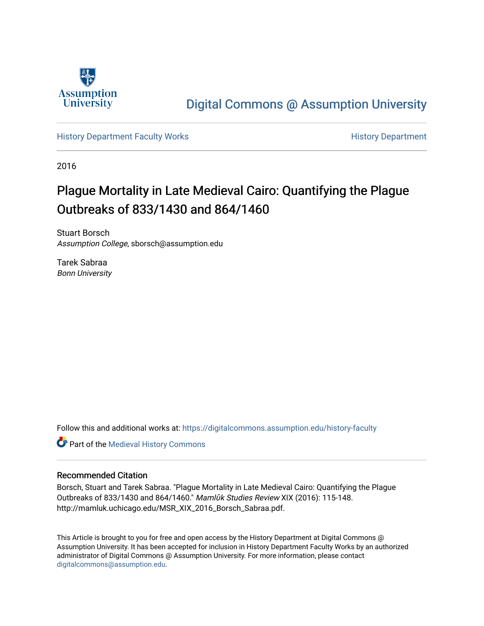

[Digital Commons @ Assumption University](https://digitalcommons.assumption.edu/) 

[History Department Faculty Works](https://digitalcommons.assumption.edu/history-faculty) **History Department** History Department

2016

# Plague Mortality in Late Medieval Cairo: Quantifying the Plague Outbreaks of 833/1430 and 864/1460

Stuart Borsch Assumption College, sborsch@assumption.edu

Tarek Sabraa Bonn University

Follow this and additional works at: [https://digitalcommons.assumption.edu/history-faculty](https://digitalcommons.assumption.edu/history-faculty?utm_source=digitalcommons.assumption.edu%2Fhistory-faculty%2F1&utm_medium=PDF&utm_campaign=PDFCoverPages) 

**Part of the [Medieval History Commons](http://network.bepress.com/hgg/discipline/503?utm_source=digitalcommons.assumption.edu%2Fhistory-faculty%2F1&utm_medium=PDF&utm_campaign=PDFCoverPages)** 

### Recommended Citation

Borsch, Stuart and Tarek Sabraa. "Plague Mortality in Late Medieval Cairo: Quantifying the Plague Outbreaks of 833/1430 and 864/1460." Mamlūk Studies Review XIX (2016): 115-148. http://mamluk.uchicago.edu/MSR\_XIX\_2016\_Borsch\_Sabraa.pdf.

This Article is brought to you for free and open access by the History Department at Digital Commons @ Assumption University. It has been accepted for inclusion in History Department Faculty Works by an authorized administrator of Digital Commons @ Assumption University. For more information, please contact [digitalcommons@assumption.edu](mailto:digitalcommons@assumption.edu).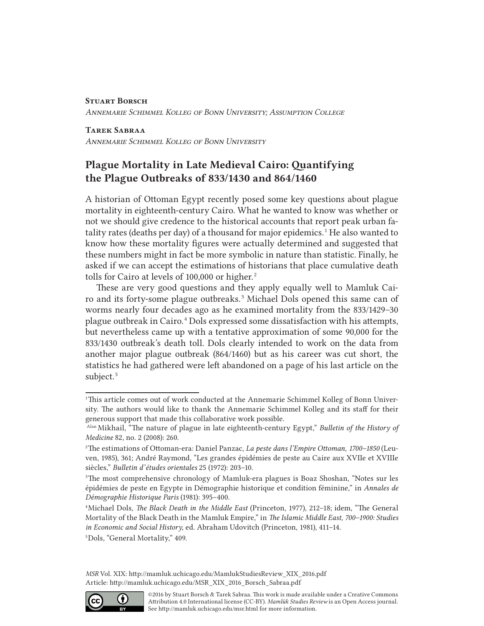#### Stuart Borsch

*Annemarie Schimmel Kolleg of Bonn University; Assumption College*

#### Tarek Sabraa

*Annemarie Schimmel Kolleg of Bonn University*

# Plague Mortality in Late Medieval Cairo: Quantifying the Plague Outbreaks of 833/1430 and 864/1460

A historian of Ottoman Egypt recently posed some key questions about plague mortality in eighteenth-century Cairo. What he wanted to know was whether or not we should give credence to the historical accounts that report peak urban fatality rates (deaths per day) of a thousand for major epidemics. 1 He also wanted to know how these mortality figures were actually determined and suggested that these numbers might in fact be more symbolic in nature than statistic. Finally, he asked if we can accept the estimations of historians that place cumulative death tolls for Cairo at levels of 100,000 or higher. 2

These are very good questions and they apply equally well to Mamluk Cairo and its forty-some plague outbreaks. 3 Michael Dols opened this same can of worms nearly four decades ago as he examined mortality from the 833/1429–30 plague outbreak in Cairo. 4 Dols expressed some dissatisfaction with his attempts, but nevertheless came up with a tentative approximation of some 90,000 for the 833/1430 outbreak's death toll. Dols clearly intended to work on the data from another major plague outbreak (864/1460) but as his career was cut short, the statistics he had gathered were left abandoned on a page of his last article on the subject.<sup>5</sup>

5 Dols, "General Mortality," 409.



<sup>1</sup>This article comes out of work conducted at the Annemarie Schimmel Kolleg of Bonn University. The authors would like to thank the Annemarie Schimmel Kolleg and its staff for their generous support that made this collaborative work possible.

Alan Mikhail, "The nature of plague in late eighteenth-century Egypt," *Bulletin of the History of Medicine* 82, no. 2 (2008): 260.

<sup>2</sup>The estimations of Ottoman-era: Daniel Panzac, *La peste dans l'Empire Ottoman, 1700–1850* (Leuven, 1985), 361; André Raymond, "Les grandes épidémies de peste au Caire aux XVIIe et XVIIIe siècles," *Bulletin d'études orientales* 25 (1972): 203–10.

<sup>3</sup>The most comprehensive chronology of Mamluk-era plagues is Boaz Shoshan, "Notes sur les épidémies de peste en Egypte in Démographie historique et condition féminine," in *Annales de Démographie Historique Paris* (1981): 395–400.

<sup>4</sup>Michael Dols, *The Black Death in the Middle East* (Princeton, 1977), 212–18; idem, "The General Mortality of the Black Death in the Mamluk Empire," in *The Islamic Middle East, 700–1900: Studies in Economic and Social History,* ed. Abraham Udovitch (Princeton, 1981), 411–14.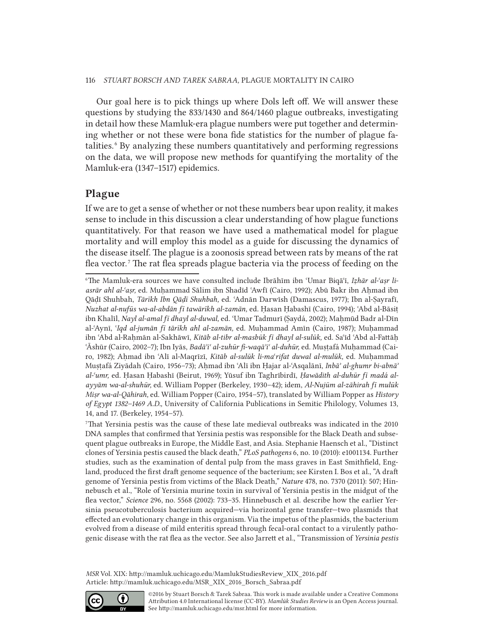Our goal here is to pick things up where Dols left off. We will answer these questions by studying the 833/1430 and 864/1460 plague outbreaks, investigating in detail how these Mamluk-era plague numbers were put together and determining whether or not these were bona fide statistics for the number of plague fatalities. 6 By analyzing these numbers quantitatively and performing regressions on the data, we will propose new methods for quantifying the mortality of the Mamluk-era (1347–1517) epidemics.

### Plague

If we are to get a sense of whether or not these numbers bear upon reality, it makes sense to include in this discussion a clear understanding of how plague functions quantitatively. For that reason we have used a mathematical model for plague mortality and will employ this model as a guide for discussing the dynamics of the disease itself. The plague is a zoonosis spread between rats by means of the rat flea vector.<sup>7</sup> The rat flea spreads plague bacteria via the process of feeding on the

7 That Yersinia pestis was the cause of these late medieval outbreaks was indicated in the 2010 DNA samples that confirmed that Yersinia pestis was responsible for the Black Death and subsequent plague outbreaks in Europe, the Middle East, and Asia. Stephanie Haensch et al., "Distinct clones of Yersinia pestis caused the black death," *PLoS pathogens* 6, no. 10 (2010): e1001134. Further studies, such as the examination of dental pulp from the mass graves in East Smithfield, England, produced the first draft genome sequence of the bacterium; see Kirsten I. Bos et al., "A draft genome of Yersinia pestis from victims of the Black Death," *Nature* 478, no. 7370 (2011): 507; Hinnebusch et al., "Role of Yersinia murine toxin in survival of Yersinia pestis in the midgut of the flea vector," *Science* 296, no. 5568 (2002): 733–35. Hinnebusch et al. describe how the earlier Yersinia pseucotuberculosis bacterium acquired—via horizontal gene transfer—two plasmids that effected an evolutionary change in this organism. Via the impetus of the plasmids, the bacterium evolved from a disease of mild enteritis spread through fecal-oral contact to a virulently pathogenic disease with the rat flea as the vector. See also Jarrett et al., "Transmission of *Yersinia pestis* 

*MSR* Vol. XIX: http://mamluk.uchicago.edu/MamlukStudiesReview\_XIX\_2016.pdf Article: http://mamluk.uchicago.edu/MSR\_XIX\_2016\_Borsch\_Sabraa.pdf



<sup>6</sup>The Mamluk-era sources we have consulted include Ibrāhīm ibn ʿUmar Biqāʿī, *Iẓhār al-ʿaṣr liasrār ahl al-ʿaṣr,* ed. Muḥammad Sālim ibn Shadīd ʿAwfī (Cairo, 1992); Abū Bakr ibn Aḥmad ibn Qāḍī Shuhbah, *Tārīkh Ibn Qāḍī Shuhbah,* ed. ʿAdnān Darwīsh (Damascus, 1977); Ibn al-Ṣayrafī, *Nuzhat al-nufūs wa-al-abdān fī tawārīkh al-zamān,* ed. Ḥasan Ḥabashī (Cairo, 1994); ʿAbd al-Bāsiṭ ibn Khalīl, *Nayl al-amal fī dhayl al-duwal,* ed. ʿUmar Tadmurī (Ṣaydá, 2002); Maḥmūd Badr al-Dīn al-ʿAynī, ʿ*Iqd al-jumān fī tārīkh ahl al-zamān,* ed. Muḥammad Amīn (Cairo, 1987); Muḥammad ibn ʿAbd al-Raḥmān al-Sakhāwī, *Kitāb al-tibr al-masbūk fī dhayl al-sulūk,* ed. Saʿīd ʿAbd al-Fattāḥ ʿĀshūr (Cairo, 2002–7); Ibn Iyās, *Badāʾiʿ al-zuhūr fi-waqāʾiʿ al-duhūr,* ed. Muṣṭafá Muḥammad (Cairo, 1982); Aḥmad ibn ʿAlī al-Maqrīzī, *Kitāb al-sulūk li-ma*ʿ*rifat duwal al-mulūk,* ed. Muḥammad Muṣṭafá Ziyādah (Cairo, 1956–73); Aḥmad ibn ʿAlī ibn Ḥajar al-ʿAsqalānī, *Inbāʾ al-ghumr bi-abnāʾ al-ʿumr,* ed. Ḥasan Ḥabashī (Beirut, 1969); Yūsuf ibn Taghrībirdī, *Ḥawādith al-duhūr fī madá alayyām wa-al-shuhūr,* ed. William Popper (Berkeley, 1930–42); idem, *Al-Nujūm al-zāhirah fī mulūk Miṣr wa-al-Qāhirah,* ed. William Popper (Cairo, 1954–57), translated by William Popper as *History of Egypt 1382–1469 A.D.,* University of California Publications in Semitic Philology, Volumes 13, 14, and 17. (Berkeley, 1954–57).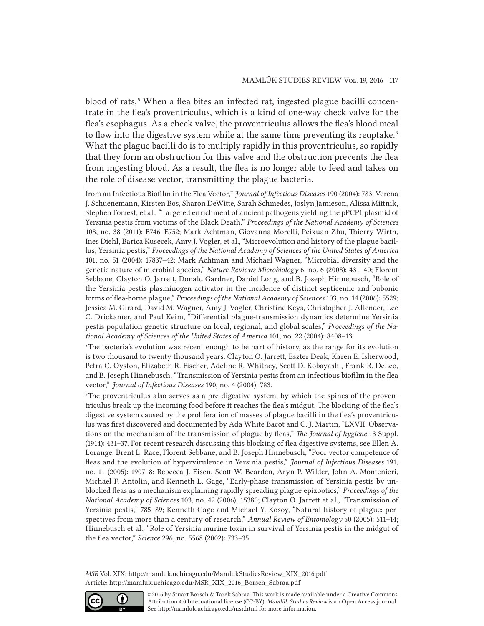blood of rats. 8 When a flea bites an infected rat, ingested plague bacilli concentrate in the flea's proventriculus, which is a kind of one-way check valve for the flea's esophagus. As a check-valve, the proventriculus allows the flea's blood meal to flow into the digestive system while at the same time preventing its reuptake.<sup>9</sup> What the plague bacilli do is to multiply rapidly in this proventriculus, so rapidly that they form an obstruction for this valve and the obstruction prevents the flea from ingesting blood. As a result, the flea is no longer able to feed and takes on the role of disease vector, transmitting the plague bacteria.

from an Infectious Biofilm in the Flea Vector," *Journal of Infectious Diseases* 190 (2004): 783; Verena J. Schuenemann, Kirsten Bos, Sharon DeWitte, Sarah Schmedes, Joslyn Jamieson, Alissa Mittnik, Stephen Forrest, et al., "Targeted enrichment of ancient pathogens yielding the pPCP1 plasmid of Yersinia pestis from victims of the Black Death," *Proceedings of the National Academy of Sciences*  108, no. 38 (2011): E746–E752; Mark Achtman, Giovanna Morelli, Peixuan Zhu, Thierry Wirth, Ines Diehl, Barica Kusecek, Amy J. Vogler, et al., "Microevolution and history of the plague bacillus, Yersinia pestis," *Proceedings of the National Academy of Sciences of the United States of America* 101, no. 51 (2004): 17837–42; Mark Achtman and Michael Wagner, "Microbial diversity and the genetic nature of microbial species," *Nature Reviews Microbiology* 6, no. 6 (2008): 431–40; Florent Sebbane, Clayton O. Jarrett, Donald Gardner, Daniel Long, and B. Joseph Hinnebusch, "Role of the Yersinia pestis plasminogen activator in the incidence of distinct septicemic and bubonic forms of flea-borne plague," *Proceedings of the National Academy of Sciences* 103, no. 14 (2006): 5529; Jessica M. Girard, David M. Wagner, Amy J. Vogler, Christine Keys, Christopher J. Allender, Lee C. Drickamer, and Paul Keim, "Differential plague-transmission dynamics determine Yersinia pestis population genetic structure on local, regional, and global scales," *Proceedings of the National Academy of Sciences of the United States of America* 101, no. 22 (2004): 8408–13.

8 The bacteria's evolution was recent enough to be part of history, as the range for its evolution is two thousand to twenty thousand years. Clayton O. Jarrett, Eszter Deak, Karen E. Isherwood, Petra C. Oyston, Elizabeth R. Fischer, Adeline R. Whitney, Scott D. Kobayashi, Frank R. DeLeo, and B. Joseph Hinnebusch, "Transmission of Yersinia pestis from an infectious biofilm in the flea vector," *Journal of Infectious Diseases* 190, no. 4 (2004): 783.

9 The proventriculus also serves as a pre-digestive system, by which the spines of the proventriculus break up the incoming food before it reaches the flea's midgut. The blocking of the flea's digestive system caused by the proliferation of masses of plague bacilli in the flea's proventriculus was first discovered and documented by Ada White Bacot and C. J. Martin, "LXVII. Observations on the mechanism of the transmission of plague by fleas," *The Journal of hygiene* 13 Suppl. (1914): 431–37. For recent research discussing this blocking of flea digestive systems, see Ellen A. Lorange, Brent L. Race, Florent Sebbane, and B. Joseph Hinnebusch, "Poor vector competence of fleas and the evolution of hypervirulence in Yersinia pestis," *Journal of Infectious Diseases* 191, no. 11 (2005): 1907–8; Rebecca J. Eisen, Scott W. Bearden, Aryn P. Wilder, John A. Montenieri, Michael F. Antolin, and Kenneth L. Gage, "Early-phase transmission of Yersinia pestis by unblocked fleas as a mechanism explaining rapidly spreading plague epizootics," *Proceedings of the National Academy of Sciences* 103, no. 42 (2006): 15380; Clayton O. Jarrett et al., "Transmission of Yersinia pestis," 785–89; Kenneth Gage and Michael Y. Kosoy, "Natural history of plague: perspectives from more than a century of research," *Annual Review of Entomology* 50 (2005): 511–14; Hinnebusch et al., "Role of Yersinia murine toxin in survival of Yersinia pestis in the midgut of the flea vector," *Science* 296, no. 5568 (2002): 733–35.

*MSR* Vol. XIX: http://mamluk.uchicago.edu/MamlukStudiesReview\_XIX\_2016.pdf Article: http://mamluk.uchicago.edu/MSR\_XIX\_2016\_Borsch\_Sabraa.pdf

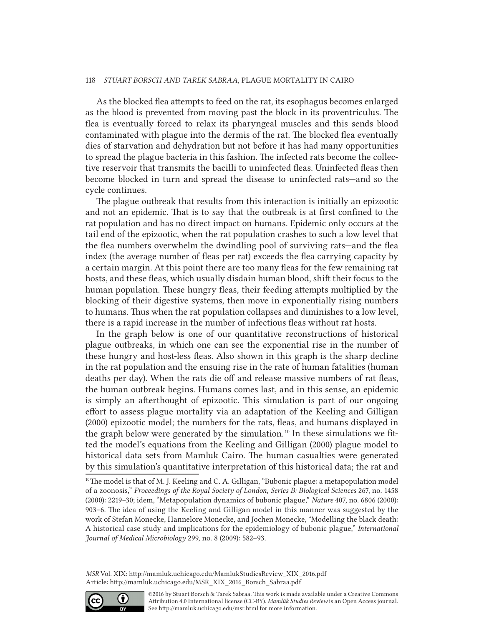As the blocked flea attempts to feed on the rat, its esophagus becomes enlarged as the blood is prevented from moving past the block in its proventriculus. The flea is eventually forced to relax its pharyngeal muscles and this sends blood contaminated with plague into the dermis of the rat. The blocked flea eventually dies of starvation and dehydration but not before it has had many opportunities to spread the plague bacteria in this fashion. The infected rats become the collective reservoir that transmits the bacilli to uninfected fleas. Uninfected fleas then become blocked in turn and spread the disease to uninfected rats—and so the cycle continues.

The plague outbreak that results from this interaction is initially an epizootic and not an epidemic. That is to say that the outbreak is at first confined to the rat population and has no direct impact on humans. Epidemic only occurs at the tail end of the epizootic, when the rat population crashes to such a low level that the flea numbers overwhelm the dwindling pool of surviving rats—and the flea index (the average number of fleas per rat) exceeds the flea carrying capacity by a certain margin. At this point there are too many fleas for the few remaining rat hosts, and these fleas, which usually disdain human blood, shift their focus to the human population. These hungry fleas, their feeding attempts multiplied by the blocking of their digestive systems, then move in exponentially rising numbers to humans. Thus when the rat population collapses and diminishes to a low level, there is a rapid increase in the number of infectious fleas without rat hosts.

In the graph below is one of our quantitative reconstructions of historical plague outbreaks, in which one can see the exponential rise in the number of these hungry and host-less fleas. Also shown in this graph is the sharp decline in the rat population and the ensuing rise in the rate of human fatalities (human deaths per day). When the rats die off and release massive numbers of rat fleas, the human outbreak begins. Humans comes last, and in this sense, an epidemic is simply an afterthought of epizootic. This simulation is part of our ongoing effort to assess plague mortality via an adaptation of the Keeling and Gilligan (2000) epizootic model; the numbers for the rats, fleas, and humans displayed in the graph below were generated by the simulation. 10 In these simulations we fitted the model's equations from the Keeling and Gilligan (2000) plague model to historical data sets from Mamluk Cairo. The human casualties were generated by this simulation's quantitative interpretation of this historical data; the rat and



<sup>&</sup>lt;sup>10</sup>The model is that of M. J. Keeling and C. A. Gilligan, "Bubonic plague: a metapopulation model of a zoonosis," *Proceedings of the Royal Society of London, Series B: Biological Sciences* 267, no. 1458 (2000): 2219–30; idem, "Metapopulation dynamics of bubonic plague," *Nature* 407, no. 6806 (2000): 903–6. The idea of using the Keeling and Gilligan model in this manner was suggested by the work of Stefan Monecke, Hannelore Monecke, and Jochen Monecke, "Modelling the black death: A historical case study and implications for the epidemiology of bubonic plague," *International Journal of Medical Microbiology* 299, no. 8 (2009): 582–93.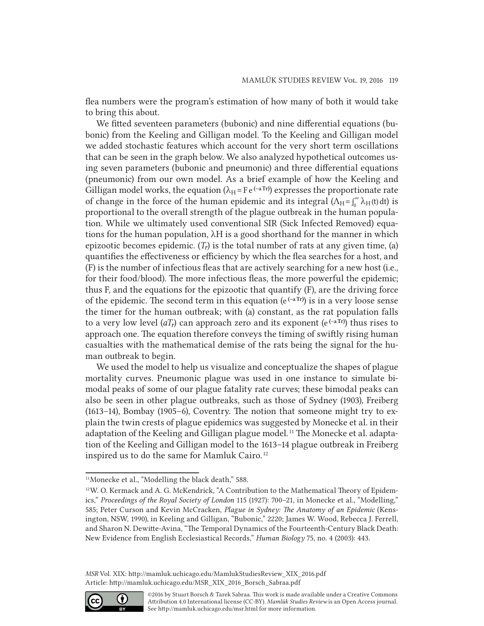flea numbers were the program's estimation of how many of both it would take to bring this about.

We fitted seventeen parameters (bubonic) and nine differential equations (bubonic) from the Keeling and Gilligan model. To the Keeling and Gilligan model we added stochastic features which account for the very short term oscillations that can be seen in the graph below. We also analyzed hypothetical outcomes using seven parameters (bubonic and pneumonic) and three differential equations (pneumonic) from our own model. As a brief example of how the Keeling and Gilligan model works, the equation  $(\lambda_H = Fe^{(-aTr)})$  expresses the proportionate rate of change in the force of the human epidemic and its integral  $(\Lambda_H = \int_0^\infty \lambda_H(t) dt)$  is proportional to the overall strength of the plague outbreak in the human population. While we ultimately used conventional SIR (Sick Infected Removed) equations for the human population, λH is a good shorthand for the manner in which epizootic becomes epidemic.  $(T_r)$  is the total number of rats at any given time, (a) quantifies the effectiveness or efficiency by which the flea searches for a host, and (F) is the number of infectious fleas that are actively searching for a new host (i.e., for their food/blood). The more infectious fleas, the more powerful the epidemic; thus F, and the equations for the epizootic that quantify (F), are the driving force of the epidemic. The second term in this equation ( $e^{(-aTr)}$ ) is in a very loose sense the timer for the human outbreak; with (a) constant, as the rat population falls to a very low level  $(aT_r)$  can approach zero and its exponent ( $e^{(-aTr)}$ ) thus rises to approach one. The equation therefore conveys the timing of swiftly rising human casualties with the mathematical demise of the rats being the signal for the human outbreak to begin. ∞

We used the model to help us visualize and conceptualize the shapes of plague mortality curves. Pneumonic plague was used in one instance to simulate bimodal peaks of some of our plague fatality rate curves; these bimodal peaks can also be seen in other plague outbreaks, such as those of Sydney (1903), Freiberg (1613–14), Bombay (1905–6), Coventry. The notion that someone might try to explain the twin crests of plague epidemics was suggested by Monecke et al. in their adaptation of the Keeling and Gilligan plague model. 11 The Monecke et al. adaptation of the Keeling and Gilligan model to the 1613–14 plague outbreak in Freiberg inspired us to do the same for Mamluk Cairo. 12



<sup>11</sup>Monecke et al., "Modelling the black death," 588.

<sup>&</sup>lt;sup>12</sup>W. O. Kermack and A. G. McKendrick, "A Contribution to the Mathematical Theory of Epidemics," *Proceedings of the Royal Society of London* 115 (1927): 700–21, in Monecke et al., "Modelling," 585; Peter Curson and Kevin McCracken, *Plague in Sydney: The Anatomy of an Epidemic* (Kensington, NSW, 1990), in Keeling and Gilligan, "Bubonic," 2220; James W. Wood, Rebecca J. Ferrell, and Sharon N. Dewitte-Avina, "The Temporal Dynamics of the Fourteenth-Century Black Death: New Evidence from English Ecclesiastical Records," *Human Biology* 75, no. 4 (2003): 443.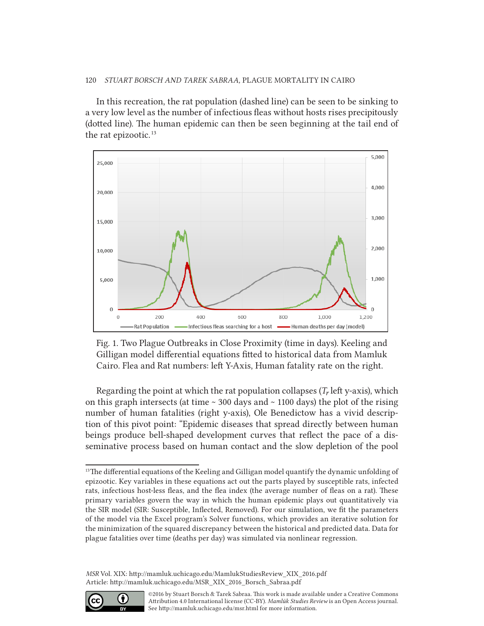In this recreation, the rat population (dashed line) can be seen to be sinking to a very low level as the number of infectious fleas without hosts rises precipitously (dotted line). The human epidemic can then be seen beginning at the tail end of the rat epizootic. 13



Fig. 1. Two Plague Outbreaks in Close Proximity (time in days). Keeling and Gilligan model differential equations fitted to historical data from Mamluk Cairo. Flea and Rat numbers: left Y-Axis, Human fatality rate on the right.

Regarding the point at which the rat population collapses (*Tr* left y-axis), which on this graph intersects (at time  $\sim$  300 days and  $\sim$  1100 days) the plot of the rising number of human fatalities (right y-axis), Ole Benedictow has a vivid description of this pivot point: "Epidemic diseases that spread directly between human beings produce bell-shaped development curves that reflect the pace of a disseminative process based on human contact and the slow depletion of the pool



<sup>©2016</sup> by Stuart Borsch & Tarek Sabraa. This work is made available under a Creative Commons Attribution 4.0 International license (CC-BY). *Mamlūk Studies Review* is an Open Access journal. See http://mamluk.uchicago.edu/msr.html for more information.

<sup>&</sup>lt;sup>13</sup>The differential equations of the Keeling and Gilligan model quantify the dynamic unfolding of epizootic. Key variables in these equations act out the parts played by susceptible rats, infected rats, infectious host-less fleas, and the flea index (the average number of fleas on a rat). These primary variables govern the way in which the human epidemic plays out quantitatively via the SIR model (SIR: Susceptible, Inflected, Removed). For our simulation, we fit the parameters of the model via the Excel program's Solver functions, which provides an iterative solution for the minimization of the squared discrepancy between the historical and predicted data. Data for plague fatalities over time (deaths per day) was simulated via nonlinear regression.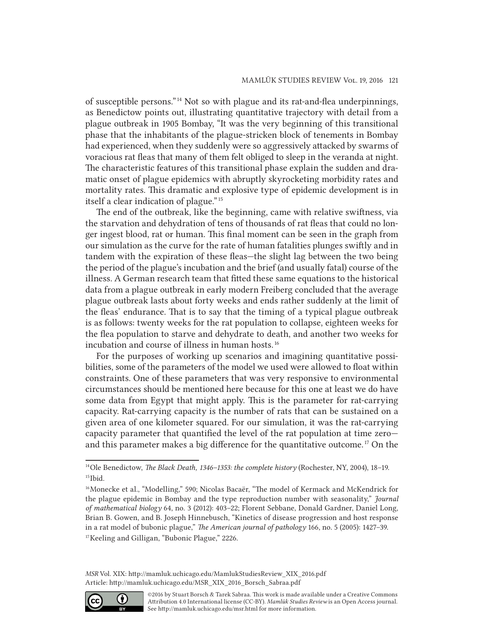of susceptible persons." 14 Not so with plague and its rat-and-flea underpinnings, as Benedictow points out, illustrating quantitative trajectory with detail from a plague outbreak in 1905 Bombay, "It was the very beginning of this transitional phase that the inhabitants of the plague-stricken block of tenements in Bombay had experienced, when they suddenly were so aggressively attacked by swarms of voracious rat fleas that many of them felt obliged to sleep in the veranda at night. The characteristic features of this transitional phase explain the sudden and dramatic onset of plague epidemics with abruptly skyrocketing morbidity rates and mortality rates. This dramatic and explosive type of epidemic development is in itself a clear indication of plague." 15

The end of the outbreak, like the beginning, came with relative swiftness, via the starvation and dehydration of tens of thousands of rat fleas that could no longer ingest blood, rat or human. This final moment can be seen in the graph from our simulation as the curve for the rate of human fatalities plunges swiftly and in tandem with the expiration of these fleas—the slight lag between the two being the period of the plague's incubation and the brief (and usually fatal) course of the illness. A German research team that fitted these same equations to the historical data from a plague outbreak in early modern Freiberg concluded that the average plague outbreak lasts about forty weeks and ends rather suddenly at the limit of the fleas' endurance. That is to say that the timing of a typical plague outbreak is as follows: twenty weeks for the rat population to collapse, eighteen weeks for the flea population to starve and dehydrate to death, and another two weeks for incubation and course of illness in human hosts. 16

For the purposes of working up scenarios and imagining quantitative possibilities, some of the parameters of the model we used were allowed to float within constraints. One of these parameters that was very responsive to environmental circumstances should be mentioned here because for this one at least we do have some data from Egypt that might apply. This is the parameter for rat-carrying capacity. Rat-carrying capacity is the number of rats that can be sustained on a given area of one kilometer squared. For our simulation, it was the rat-carrying capacity parameter that quantified the level of the rat population at time zero and this parameter makes a big difference for the quantitative outcome. 17 On the



<sup>14</sup>Ole Benedictow, *The Black Death, 1346–1353: the complete history* (Rochester, NY, 2004), 18–19. 15 Ibid.

<sup>16</sup>Monecke et al., "Modelling," 590; Nicolas Bacaër, "The model of Kermack and McKendrick for the plague epidemic in Bombay and the type reproduction number with seasonality," *Journal of mathematical biology* 64, no. 3 (2012): 403–22; Florent Sebbane, Donald Gardner, Daniel Long, Brian B. Gowen, and B. Joseph Hinnebusch, "Kinetics of disease progression and host response in a rat model of bubonic plague," *The American journal of pathology* 166, no. 5 (2005): 1427–39. 17 Keeling and Gilligan, "Bubonic Plague," 2226.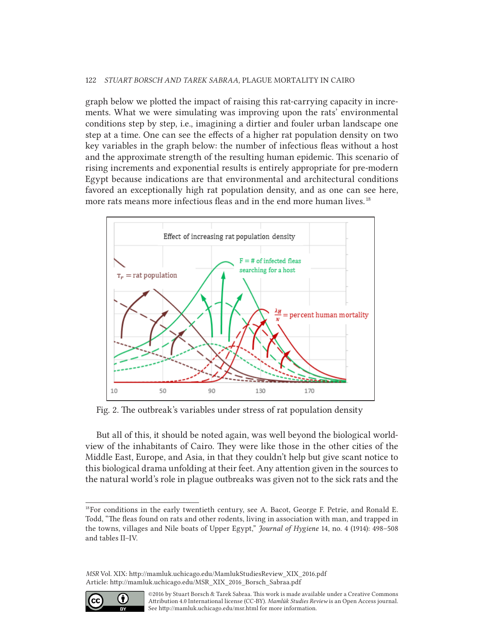graph below we plotted the impact of raising this rat-carrying capacity in increments. What we were simulating was improving upon the rats' environmental conditions step by step, i.e., imagining a dirtier and fouler urban landscape one step at a time. One can see the effects of a higher rat population density on two key variables in the graph below: the number of infectious fleas without a host and the approximate strength of the resulting human epidemic. This scenario of rising increments and exponential results is entirely appropriate for pre-modern Egypt because indications are that environmental and architectural conditions favored an exceptionally high rat population density, and as one can see here, more rats means more infectious fleas and in the end more human lives.<sup>18</sup>



Fig. 2. The outbreak's variables under stress of rat population density

But all of this, it should be noted again, was well beyond the biological worldview of the inhabitants of Cairo. They were like those in the other cities of the Middle East, Europe, and Asia, in that they couldn't help but give scant notice to this biological drama unfolding at their feet. Any attention given in the sources to the natural world's role in plague outbreaks was given not to the sick rats and the



<sup>18</sup>For conditions in the early twentieth century, see A. Bacot, George F. Petrie, and Ronald E. Todd, "The fleas found on rats and other rodents, living in association with man, and trapped in the towns, villages and Nile boats of Upper Egypt," *Journal of Hygiene* 14, no. 4 (1914): 498–508 and tables II–IV.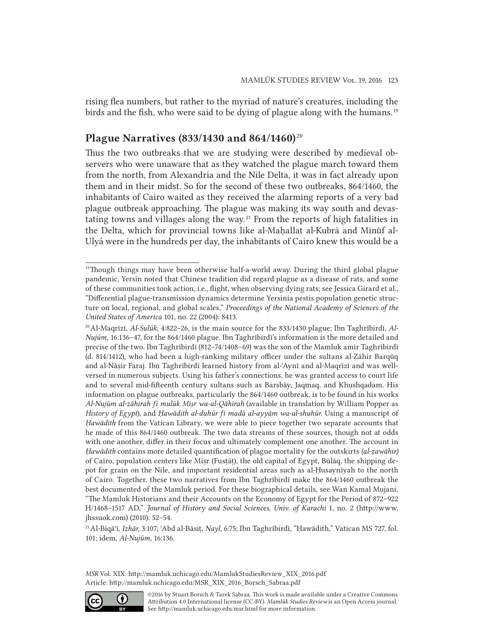rising flea numbers, but rather to the myriad of nature's creatures, including the birds and the fish, who were said to be dying of plague along with the humans.<sup>19</sup>

### Plague Narratives (833/1430 and 864/1460)<sup>20</sup>

Thus the two outbreaks that we are studying were described by medieval observers who were unaware that as they watched the plague march toward them from the north, from Alexandria and the Nile Delta, it was in fact already upon them and in their midst. So for the second of these two outbreaks, 864/1460, the inhabitants of Cairo waited as they received the alarming reports of a very bad plague outbreak approaching. The plague was making its way south and devastating towns and villages along the way. 21 From the reports of high fatalities in the Delta, which for provincial towns like al-Maḥallat al-Kubrá and Minūf al-Ulyá were in the hundreds per day, the inhabitants of Cairo knew this would be a

*MSR* Vol. XIX: http://mamluk.uchicago.edu/MamlukStudiesReview\_XIX\_2016.pdf Article: http://mamluk.uchicago.edu/MSR\_XIX\_2016\_Borsch\_Sabraa.pdf



<sup>19</sup>Though things may have been otherwise half-a-world away. During the third global plague pandemic, Yersin noted that Chinese tradition did regard plague as a disease of rats, and some of these communities took action, i.e., flight, when observing dying rats; see Jessica Girard et al., "Differential plague-transmission dynamics determine Yersinia pestis population genetic structure on local, regional, and global scales," *Proceedings of the National Academy of Sciences of the United States of America* 101, no. 22 (2004): 8413.

<sup>20</sup>Al-Maqrīzī, *Al-Sulūk,* 4:822–26, is the main source for the 833/1430 plague; Ibn Taghrībirdī, *Al-Nujūm*, 16:136–47, for the 864/1460 plague. Ibn Taghrībirdī's information is the more detailed and precise of the two. Ibn Taghrībirdī (812–74/1408–69) was the son of the Mamluk amir Taghrībirdī (d. 814/1412), who had been a high-ranking military officer under the sultans al-Ẓāhir Barqūq and al-Nāṣir Faraj. Ibn Taghrībirdī learned history from al-ʿAynī and al-Maqrīzī and was wellversed in numerous subjects. Using his father's connections, he was granted access to court life and to several mid-fifteenth century sultans such as Barsbāy, Jaqmaq, and Khushqadam. His information on plague outbreaks, particularly the 864/1460 outbreak, is to be found in his works *Al-Nujūm al-zāhirah fī mulūk Miṣr wa-al-Qāhirah* (available in translation by William Popper as *History of Egypt*), and *Ḥawādith al-duhūr fī madá al-ayyām wa-al-shuhūr*. Using a manuscript of *Ḥawādith* from the Vatican Library, we were able to piece together two separate accounts that he made of this 864/1460 outbreak. The two data streams of these sources, though not at odds with one another, differ in their focus and ultimately complement one another. The account in *Ḥawādith* contains more detailed quantification of plague mortality for the outskirts *(al-ẓawāhir)* of Cairo, population centers like Miṣr (Fusṭāṭ), the old capital of Egypt, Būlāq, the shipping depot for grain on the Nile, and important residential areas such as al-Ḥusaynīyah to the north of Cairo. Together, these two narratives from Ibn Taghrībirdī make the 864/1460 outbreak the best documented of the Mamluk period. For these biographical details, see Wan Kamal Mujani, "The Mamluk Historians and their Accounts on the Economy of Egypt for the Period of 872–922 H/1468–1517 AD," *Journal of History and Social Sciences, Univ. of Karachi* 1, no. 2 (http://www. jhssuok.com) (2010): 52–54.

<sup>21</sup>Al-Biqāʿī, *Iẓhār,* 3:107; ʿAbd al-Bāsiṭ, *Nayl,* 6:75; Ibn Taghrībirdī, "Ḥawādith," Vatican MS 727, fol. 101; idem, *Al-Nujūm,* 16:136.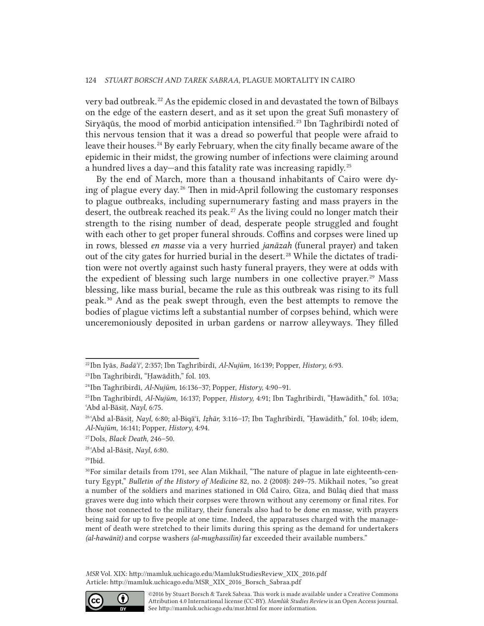very bad outbreak. 22 As the epidemic closed in and devastated the town of Bilbays on the edge of the eastern desert, and as it set upon the great Sufi monastery of Siryāqūs, the mood of morbid anticipation intensified. 23 Ibn Taghrībirdī noted of this nervous tension that it was a dread so powerful that people were afraid to leave their houses. 24 By early February, when the city finally became aware of the epidemic in their midst, the growing number of infections were claiming around a hundred lives a day—and this fatality rate was increasing rapidly. 25

By the end of March, more than a thousand inhabitants of Cairo were dying of plague every day. 26 Then in mid-April following the customary responses to plague outbreaks, including supernumerary fasting and mass prayers in the desert, the outbreak reached its peak. 27 As the living could no longer match their strength to the rising number of dead, desperate people struggled and fought with each other to get proper funeral shrouds. Coffins and corpses were lined up in rows, blessed *en masse* via a very hurried *janāzah* (funeral prayer) and taken out of the city gates for hurried burial in the desert.<sup>28</sup> While the dictates of tradition were not overtly against such hasty funeral prayers, they were at odds with the expedient of blessing such large numbers in one collective prayer. 29 Mass blessing, like mass burial, became the rule as this outbreak was rising to its full peak. 30 And as the peak swept through, even the best attempts to remove the bodies of plague victims left a substantial number of corpses behind, which were unceremoniously deposited in urban gardens or narrow alleyways. They filled



<sup>22</sup>Ibn Iyās, *Badāʾiʿ,* 2:357; Ibn Taghrībirdī, *Al-Nujūm,* 16:139; Popper, *History,* 6:93.

<sup>23</sup>Ibn Taghrībirdī, "Ḥawādith," fol. 103.

<sup>24</sup>Ibn Taghrībirdī, *Al-Nujūm,* 16:136–37; Popper, *History,* 4:90–91.

<sup>25</sup>Ibn Taghrībirdī, *Al-Nujūm,* 16:137; Popper, *History,* 4:91; Ibn Taghrībirdī, "Ḥawādith," fol. 103a; ʿAbd al-Bāsiṭ, *Nayl,* 6:75.

<sup>26</sup>ʿAbd al-Bāsiṭ, *Nayl,* 6:80; al-Biqāʿī, *Iẓhār,* 3:116–17; Ibn Taghrībirdī, "Ḥawādith," fol. 104b; idem, *Al-Nujūm,* 16:141; Popper, *History,* 4:94.

<sup>27</sup>Dols, *Black Death,* 246–50.

<sup>28</sup>ʿAbd al-Bāsiṭ, *Nayl,* 6:80.

<sup>29</sup>Ibid.

 $30$ For similar details from 1791, see Alan Mikhail, "The nature of plague in late eighteenth-century Egypt," *Bulletin of the History of Medicine* 82, no. 2 (2008): 249–75. Mikhail notes, "so great a number of the soldiers and marines stationed in Old Cairo, Gīza, and Būlāq died that mass graves were dug into which their corpses were thrown without any ceremony or final rites. For those not connected to the military, their funerals also had to be done en masse, with prayers being said for up to five people at one time. Indeed, the apparatuses charged with the management of death were stretched to their limits during this spring as the demand for undertakers *(al-hawānīt)* and corpse washers *(al-mughassilīn)* far exceeded their available numbers."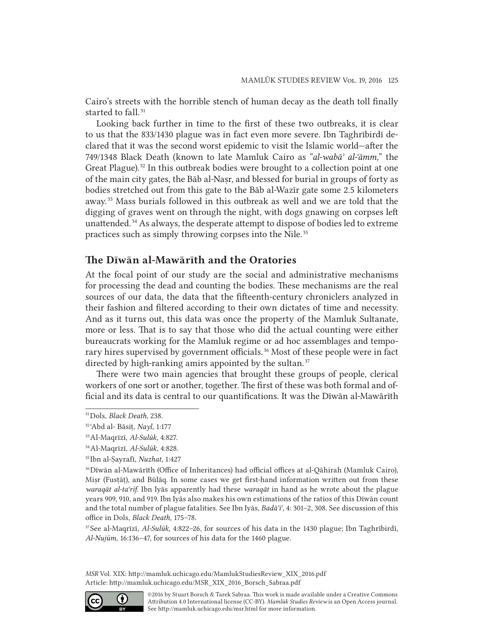Cairo's streets with the horrible stench of human decay as the death toll finally started to fall.<sup>31</sup>

Looking back further in time to the first of these two outbreaks, it is clear to us that the 833/1430 plague was in fact even more severe. Ibn Taghrībirdī declared that it was the second worst epidemic to visit the Islamic world—after the 749/1348 Black Death (known to late Mamluk Cairo as "*al-wabāʾ al-ʿāmm,*" the Great Plague).<sup>32</sup> In this outbreak bodies were brought to a collection point at one of the main city gates, the Bāb al-Naṣr, and blessed for burial in groups of forty as bodies stretched out from this gate to the Bāb al-Wazīr gate some 2.5 kilometers away. 33 Mass burials followed in this outbreak as well and we are told that the digging of graves went on through the night, with dogs gnawing on corpses left unattended. 34 As always, the desperate attempt to dispose of bodies led to extreme practices such as simply throwing corpses into the Nile. 35

### The Dīwān al-Mawārīth and the Oratories

At the focal point of our study are the social and administrative mechanisms for processing the dead and counting the bodies. These mechanisms are the real sources of our data, the data that the fifteenth-century chroniclers analyzed in their fashion and filtered according to their own dictates of time and necessity. And as it turns out, this data was once the property of the Mamluk Sultanate, more or less. That is to say that those who did the actual counting were either bureaucrats working for the Mamluk regime or ad hoc assemblages and temporary hires supervised by government officials. 36 Most of these people were in fact directed by high-ranking amirs appointed by the sultan. 37

There were two main agencies that brought these groups of people, clerical workers of one sort or another, together. The first of these was both formal and official and its data is central to our quantifications. It was the Dīwān al-Mawārīth

37 See al-Maqrīzī, *Al-Sulūk,* 4:822–26, for sources of his data in the 1430 plague; Ibn Taghrībirdī, *Al-Nujūm,* 16:136–47, for sources of his data for the 1460 plague.



<sup>31</sup>Dols, *Black Death,* 238.

<sup>32</sup>ʿAbd al- Bāsiṭ, *Nayl,* 1:177

<sup>33</sup>Al-Maqrīzī, *Al-Sulūk,* 4:827.

<sup>34</sup>Al-Maqrīzī, *Al-Sulūk,* 4:828.

<sup>35</sup>Ibn al-Ṣayrafī, *Nuzhat,* 1:427

<sup>36</sup>Dīwān al-Mawārīth (Office of Inheritances) had official offices at al-Qāhirah (Mamluk Cairo), Miṣr (Fusṭāṭ), and Būlāq. In some cases we get first-hand information written out from these *waraqāt al-taʿrīf*. Ibn Iyās apparently had these *waraqāt* in hand as he wrote about the plague years 909, 910, and 919. Ibn Iyās also makes his own estimations of the ratios of this Dīwān count and the total number of plague fatalities. See Ibn Iyās, *Badāʾiʿ,* 4: 301–2, 308. See discussion of this office in Dols, *Black Death,* 175–78.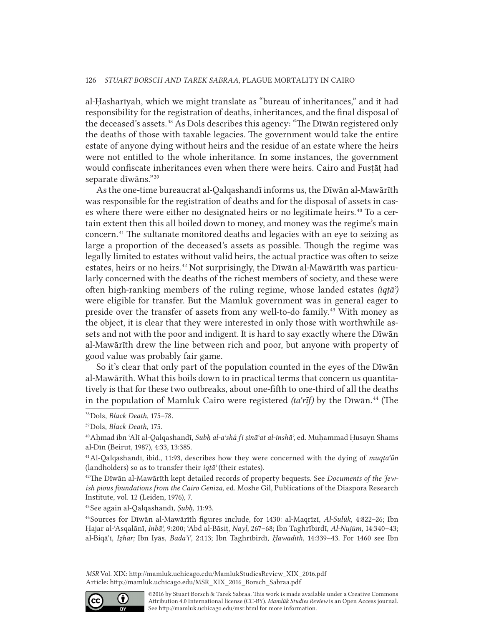al-Ḥasharīyah, which we might translate as "bureau of inheritances," and it had responsibility for the registration of deaths, inheritances, and the final disposal of the deceased's assets. 38 As Dols describes this agency: "The Dīwān registered only the deaths of those with taxable legacies. The government would take the entire estate of anyone dying without heirs and the residue of an estate where the heirs were not entitled to the whole inheritance. In some instances, the government would confiscate inheritances even when there were heirs. Cairo and Fusṭāṭ had separate dīwāns." 39

As the one-time bureaucrat al-Qalqashandī informs us, the Dīwān al-Mawārīth was responsible for the registration of deaths and for the disposal of assets in cases where there were either no designated heirs or no legitimate heirs. 40 To a certain extent then this all boiled down to money, and money was the regime's main concern. 41 The sultanate monitored deaths and legacies with an eye to seizing as large a proportion of the deceased's assets as possible. Though the regime was legally limited to estates without valid heirs, the actual practice was often to seize estates, heirs or no heirs. 42 Not surprisingly, the Dīwān al-Mawārīth was particularly concerned with the deaths of the richest members of society, and these were often high-ranking members of the ruling regime, whose landed estates *(iqṭāʾ)* were eligible for transfer. But the Mamluk government was in general eager to preside over the transfer of assets from any well-to-do family. 43 With money as the object, it is clear that they were interested in only those with worthwhile assets and not with the poor and indigent. It is hard to say exactly where the Dīwān al-Mawārīth drew the line between rich and poor, but anyone with property of good value was probably fair game.

So it's clear that only part of the population counted in the eyes of the Dīwān al-Mawārīth. What this boils down to in practical terms that concern us quantitatively is that for these two outbreaks, about one-fifth to one-third of all the deaths in the population of Mamluk Cairo were registered *(taʿrīf)* by the Dīwān. 44 (The

43 See again al-Qalqashandī, *Ṣubḥ,* 11:93.



<sup>38</sup>Dols, *Black Death,* 175–78.

<sup>39</sup>Dols, *Black Death,* 175.

<sup>40</sup>Aḥmad ibn ʿAlī al-Qalqashandī, *Subḥ al-aʿshá fī ṣināʿat al-inshāʾ,* ed. Muḥammad Ḥusayn Shams al-Dīn (Beirut, 1987), 4:33, 13:385.

<sup>41</sup>Al-Qalqashandī, ibid., 11:93, describes how they were concerned with the dying of *muqṭaʿūn* (landholders) so as to transfer their *iqṭāʾ* (their estates).

<sup>42</sup>The Dīwān al-Mawārīth kept detailed records of property bequests. See *Documents of the Jewish pious foundations from the Cairo Geniza,* ed. Moshe Gil, Publications of the Diaspora Research Institute, vol. 12 (Leiden, 1976), 7.

<sup>44</sup>Sources for Dīwān al-Mawārīth figures include, for 1430: al-Maqrīzī, *Al-Sulūk,* 4:822–26; Ibn Ḥajar al-ʿAsqalānī, *Inbāʾ,* 9:200; ʿAbd al-Bāsiṭ, *Nayl,* 267–68; Ibn Taghrībirdī, *Al-Nujūm,* 14:340–43; al-Biqāʿī, *Iẓhār;* Ibn Iyās, *Badāʾiʿ,* 2:113; Ibn Taghrībirdī, *Ḥawādith,* 14:339–43. For 1460 see Ibn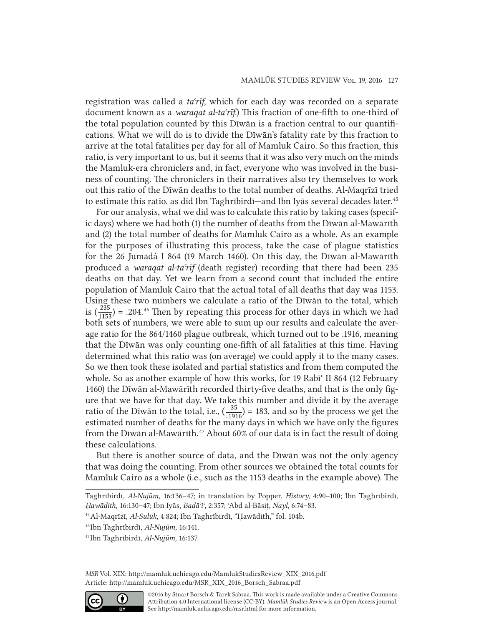registration was called a *taʿrīf*, which for each day was recorded on a separate document known as a *waraqat al-taʿrīf*.) This fraction of one-fifth to one-third of the total population counted by this Dīwān is a fraction central to our quantifications. What we will do is to divide the Dīwān's fatality rate by this fraction to arrive at the total fatalities per day for all of Mamluk Cairo. So this fraction, this ratio, is very important to us, but it seems that it was also very much on the minds the Mamluk-era chroniclers and, in fact, everyone who was involved in the business of counting. The chroniclers in their narratives also try themselves to work out this ratio of the Dīwān deaths to the total number of deaths. Al-Maqrīzī tried to estimate this ratio, as did Ibn Taghrībirdī—and Ibn Iyās several decades later. 45

For our analysis, what we did was to calculate this ratio by taking cases (specific days) where we had both (1) the number of deaths from the Dīwān al-Mawārīth and (2) the total number of deaths for Mamluk Cairo as a whole. As an example for the purposes of illustrating this process, take the case of plague statistics for the 26 Jumādá I 864 (19 March 1460). On this day, the Dīwān al-Mawārīth produced a *waraqat al-taʿrīf* (death register) recording that there had been 235 deaths on that day. Yet we learn from a second count that included the entire population of Mamluk Cairo that the actual total of all deaths that day was 1153. Using these two numbers we calculate a ratio of the Dīwān to the total, which is  $\left(\frac{235}{1153}\right)$  = .204.<sup>46</sup> Then by repeating this process for other days in which we had both sets of numbers, we were able to sum up our results and calculate the average ratio for the 864/1460 plague outbreak, which turned out to be .1916, meaning that the Dīwān was only counting one-fifth of all fatalities at this time. Having determined what this ratio was (on average) we could apply it to the many cases. So we then took these isolated and partial statistics and from them computed the whole. So as another example of how this works, for 19 Rabī<sup>c</sup> II 864 (12 February 1460) the Dīwān al-Mawārīth recorded thirty-five deaths, and that is the only figure that we have for that day. We take this number and divide it by the average ratio of the Dīwān to the total, i.e.,  $\left(\frac{35}{1016}\right)$  = 183, and so by the process we get the estimated number of deaths for the many days in which we have only the figures from the Dīwān al-Mawārīth. 47 About 60% of our data is in fact the result of doing these calculations.

But there is another source of data, and the Dīwān was not the only agency that was doing the counting. From other sources we obtained the total counts for Mamluk Cairo as a whole (i.e., such as the 1153 deaths in the example above). The



Taghrībirdī, *Al-Nujūm,* 16:136–47; in translation by Popper, *History,* 4:90–100; Ibn Taghrībirdī, *Ḥawādith,* 16:130–47; Ibn Iyās, *Badāʾiʿ,* 2:357; ʿAbd al-Bāsiṭ, *Nayl,* 6:74–83.

<sup>45</sup>Al-Maqrīzī, *Al-Sulūk,* 4:824; Ibn Taghrībirdī, "Ḥawādith," fol. 104b.

<sup>46</sup>Ibn Taghrībirdī, *Al-Nujūm,* 16:141.

<sup>47</sup>Ibn Taghrībirdī, *Al-Nujūm,* 16:137.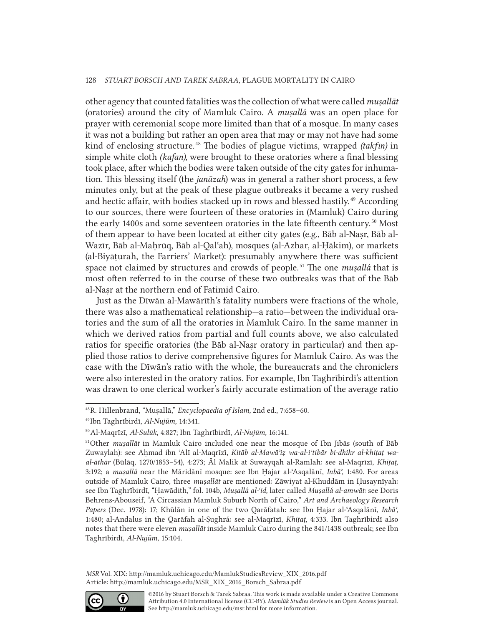other agency that counted fatalities was the collection of what were called *muṣallāt* (oratories) around the city of Mamluk Cairo. A *muṣallá* was an open place for prayer with ceremonial scope more limited than that of a mosque. In many cases it was not a building but rather an open area that may or may not have had some kind of enclosing structure. 48 The bodies of plague victims, wrapped *(takfīn)* in simple white cloth *(kafan),* were brought to these oratories where a final blessing took place, after which the bodies were taken outside of the city gates for inhumation. This blessing itself (the *janāzah*) was in general a rather short process, a few minutes only, but at the peak of these plague outbreaks it became a very rushed and hectic affair, with bodies stacked up in rows and blessed hastily. 49 According to our sources, there were fourteen of these oratories in (Mamluk) Cairo during the early 1400s and some seventeen oratories in the late fifteenth century. 50 Most of them appear to have been located at either city gates (e.g., Bāb al-Naṣr, Bāb al-Wazīr, Bāb al-Maḥrūq, Bāb al-Qalʿah), mosques (al-Azhar, al-Ḥākim), or markets (al-Biyāṭurah, the Farriers' Market): presumably anywhere there was sufficient space not claimed by structures and crowds of people. 51 The one *muṣallá* that is most often referred to in the course of these two outbreaks was that of the Bāb al-Naṣr at the northern end of Fatimid Cairo.

Just as the Dīwān al-Mawārīth's fatality numbers were fractions of the whole, there was also a mathematical relationship—a ratio—between the individual oratories and the sum of all the oratories in Mamluk Cairo. In the same manner in which we derived ratios from partial and full counts above, we also calculated ratios for specific oratories (the Bāb al-Naṣr oratory in particular) and then applied those ratios to derive comprehensive figures for Mamluk Cairo. As was the case with the Dīwān's ratio with the whole, the bureaucrats and the chroniclers were also interested in the oratory ratios. For example, Ibn Taghrībirdī's attention was drawn to one clerical worker's fairly accurate estimation of the average ratio



<sup>48</sup>R. Hillenbrand, "Muṣallā," *Encyclopaedia of Islam,* 2nd ed., 7:658–60.

<sup>49</sup>Ibn Taghrībirdī, *Al-Nujūm,* 14:341.

<sup>50</sup>Al-Maqrīzī, *Al-Sulūk,* 4:827; Ibn Taghrībirdī, *Al-Nujūm,* 16:141.

<sup>51</sup>Other *muṣallāt* in Mamluk Cairo included one near the mosque of Ibn Jibās (south of Bāb Zuwaylah): see Aḥmad ibn ʿAlī al-Maqrīzī, *Kitāb al-Mawāʾiẓ wa-al-iʿtibār bi-dhikr al-khiṭaṭ waal-āthār* (Būlāq, 1270/1853–54), 4:273; Āl Malik at Suwayqah al-Ramlah: see al-Maqrīzī, *Khiṭaṭ,* 3:192; a *muṣallá* near the Māridānī mosque: see Ibn Ḥajar al-ʿAsqalānī, *Inbāʾ,* 1:480. For areas outside of Mamluk Cairo, three *muṣallāt* are mentioned: Zāwiyat al-Khuddām in Ḥusaynīyah: see Ibn Taghrībirdī, "Ḥawādith," fol. 104b, *Muṣallá al-ʿīd,* later called *Muṣallá al-amwāt:* see Doris Behrens-Abouseif, "A Circassian Mamluk Suburb North of Cairo," *Art and Archaeology Research Papers* (Dec. 1978): 17; Khūlān in one of the two Qarāfatah: see Ibn Ḥajar al-ʿAsqalānī, *Inbāʾ,* 1:480; al-Andalus in the Qarāfah al-Ṣughrá: see al-Maqrīzī, *Khiṭaṭ,* 4:333. Ibn Taghrībirdī also notes that there were eleven *muṣallāt* inside Mamluk Cairo during the 841/1438 outbreak; see Ibn Taghrībirdī, *Al-Nujūm,* 15:104.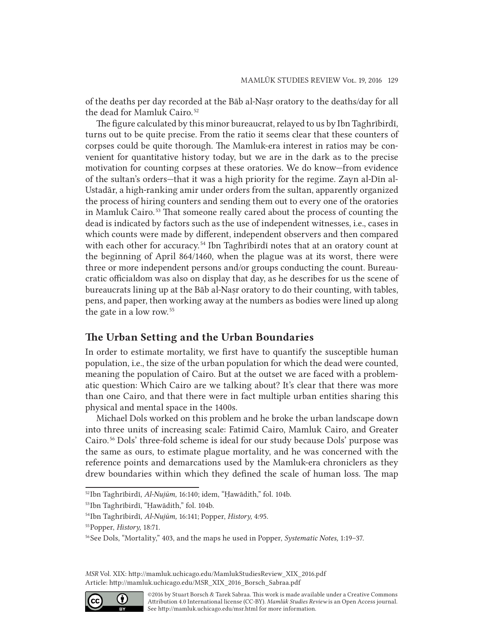of the deaths per day recorded at the Bāb al-Naṣr oratory to the deaths/day for all the dead for Mamluk Cairo. 52

The figure calculated by this minor bureaucrat, relayed to us by Ibn Taghrībirdī, turns out to be quite precise. From the ratio it seems clear that these counters of corpses could be quite thorough. The Mamluk-era interest in ratios may be convenient for quantitative history today, but we are in the dark as to the precise motivation for counting corpses at these oratories. We do know—from evidence of the sultan's orders—that it was a high priority for the regime. Zayn al-Dīn al-Ustadār, a high-ranking amir under orders from the sultan, apparently organized the process of hiring counters and sending them out to every one of the oratories in Mamluk Cairo. 53 That someone really cared about the process of counting the dead is indicated by factors such as the use of independent witnesses, i.e., cases in which counts were made by different, independent observers and then compared with each other for accuracy.<sup>54</sup> Ibn Taghribirdi notes that at an oratory count at the beginning of April 864/1460, when the plague was at its worst, there were three or more independent persons and/or groups conducting the count. Bureaucratic officialdom was also on display that day, as he describes for us the scene of bureaucrats lining up at the Bāb al-Naṣr oratory to do their counting, with tables, pens, and paper, then working away at the numbers as bodies were lined up along the gate in a low row. 55

### The Urban Setting and the Urban Boundaries

In order to estimate mortality, we first have to quantify the susceptible human population, i.e., the size of the urban population for which the dead were counted, meaning the population of Cairo. But at the outset we are faced with a problematic question: Which Cairo are we talking about? It's clear that there was more than one Cairo, and that there were in fact multiple urban entities sharing this physical and mental space in the 1400s.

Michael Dols worked on this problem and he broke the urban landscape down into three units of increasing scale: Fatimid Cairo, Mamluk Cairo, and Greater Cairo. 56 Dols' three-fold scheme is ideal for our study because Dols' purpose was the same as ours, to estimate plague mortality, and he was concerned with the reference points and demarcations used by the Mamluk-era chroniclers as they drew boundaries within which they defined the scale of human loss. The map



<sup>52</sup>Ibn Taghrībirdī, *Al-Nujūm,* 16:140; idem, "Ḥawādith," fol. 104b.

<sup>53</sup>Ibn Taghrībirdī, "Ḥawādith," fol. 104b.

<sup>54</sup>Ibn Taghrībirdī, *Al-Nujūm,* 16:141; Popper, *History,* 4:95.

<sup>55</sup>Popper, *History,* 18:71.

<sup>56</sup>See Dols, "Mortality," 403, and the maps he used in Popper, *Systematic Notes,* 1:19–37.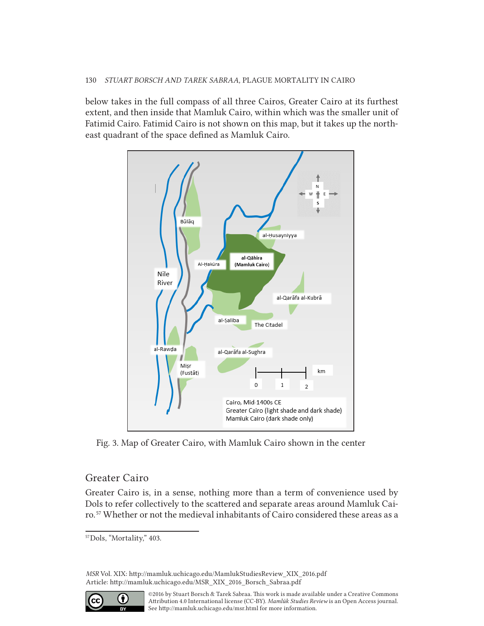below takes in the full compass of all three Cairos, Greater Cairo at its furthest extent, and then inside that Mamluk Cairo, within which was the smaller unit of Fatimid Cairo. Fatimid Cairo is not shown on this map, but it takes up the northeast quadrant of the space defined as Mamluk Cairo.



Fig. 3. Map of Greater Cairo, with Mamluk Cairo shown in the center

# Greater Cairo

Greater Cairo is, in a sense, nothing more than a term of convenience used by Dols to refer collectively to the scattered and separate areas around Mamluk Cairo. 57 Whether or not the medieval inhabitants of Cairo considered these areas as a



<sup>57</sup>Dols, "Mortality," 403.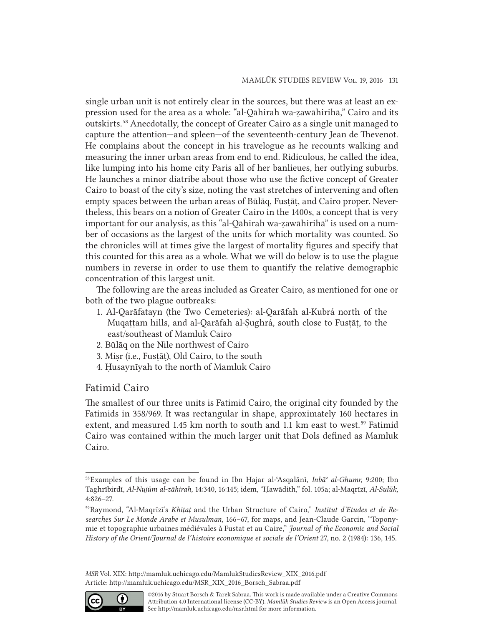single urban unit is not entirely clear in the sources, but there was at least an expression used for the area as a whole: "al-Qāhirah wa-ẓawāhirihā," Cairo and its outskirts. 58 Anecdotally, the concept of Greater Cairo as a single unit managed to capture the attention—and spleen—of the seventeenth-century Jean de Thevenot. He complains about the concept in his travelogue as he recounts walking and measuring the inner urban areas from end to end. Ridiculous, he called the idea, like lumping into his home city Paris all of her banlieues, her outlying suburbs. He launches a minor diatribe about those who use the fictive concept of Greater Cairo to boast of the city's size, noting the vast stretches of intervening and often empty spaces between the urban areas of Būlāq, Fustāt, and Cairo proper. Nevertheless, this bears on a notion of Greater Cairo in the 1400s, a concept that is very important for our analysis, as this "al-Qāhirah wa-ẓawāhirihā" is used on a number of occasions as the largest of the units for which mortality was counted. So the chronicles will at times give the largest of mortality figures and specify that this counted for this area as a whole. What we will do below is to use the plague numbers in reverse in order to use them to quantify the relative demographic concentration of this largest unit.

The following are the areas included as Greater Cairo, as mentioned for one or both of the two plague outbreaks:

- 1. Al-Qarāfatayn (the Two Cemeteries): al-Qarāfah al-Kubrá north of the Mugattam hills, and al-Qarāfah al-Sughrá, south close to Fustāt, to the east/southeast of Mamluk Cairo
- 2. Būlāq on the Nile northwest of Cairo
- 3. Miṣr (i.e., Fusṭāṭ), Old Cairo, to the south
- 4. Ḥusaynīyah to the north of Mamluk Cairo

### Fatimid Cairo

The smallest of our three units is Fatimid Cairo, the original city founded by the Fatimids in 358/969. It was rectangular in shape, approximately 160 hectares in extent, and measured 1.45 km north to south and 1.1 km east to west. 59 Fatimid Cairo was contained within the much larger unit that Dols defined as Mamluk Cairo.



<sup>58</sup>Examples of this usage can be found in Ibn Ḥajar al-ʿAsqalānī, *Inbāʾ al-Ghumr,* 9:200; Ibn Taghrībirdī, *Al-Nujūm al-zāhirah,* 14:340, 16:145; idem, "Ḥawādith," fol. 105a; al-Maqrīzī, *Al-Sulūk,*  4:826–27.

<sup>59</sup>Raymond, "Al-Maqrīzī's *Khiṭaṭ* and the Urban Structure of Cairo," *Institut d'Etudes et de Researches Sur Le Monde Arabe et Musulman,* 166–67, for maps, and Jean-Claude Garcin, "Toponymie et topographie urbaines médiévales à Fustat et au Caire," *Journal of the Economic and Social History of the Orient/Journal de l'histoire economique et sociale de l'Orient* 27, no. 2 (1984): 136, 145.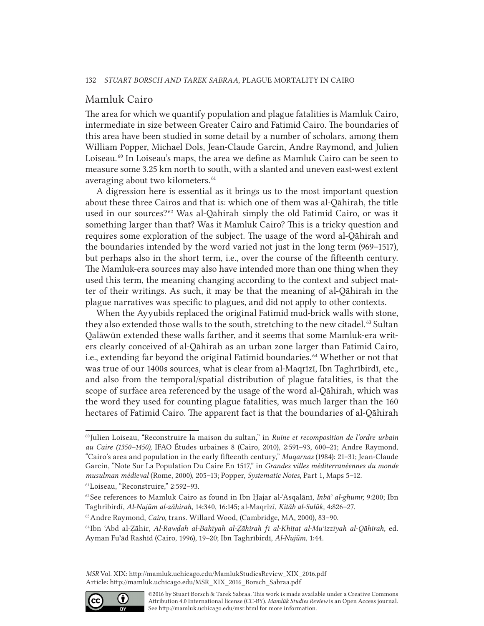### Mamluk Cairo

The area for which we quantify population and plague fatalities is Mamluk Cairo, intermediate in size between Greater Cairo and Fatimid Cairo. The boundaries of this area have been studied in some detail by a number of scholars, among them William Popper, Michael Dols, Jean-Claude Garcin, Andre Raymond, and Julien Loiseau. 60 In Loiseau's maps, the area we define as Mamluk Cairo can be seen to measure some 3.25 km north to south, with a slanted and uneven east-west extent averaging about two kilometers. 61

A digression here is essential as it brings us to the most important question about these three Cairos and that is: which one of them was al-Qāhirah, the title used in our sources? 62 Was al-Qāhirah simply the old Fatimid Cairo, or was it something larger than that? Was it Mamluk Cairo? This is a tricky question and requires some exploration of the subject. The usage of the word al-Qāhirah and the boundaries intended by the word varied not just in the long term (969–1517), but perhaps also in the short term, i.e., over the course of the fifteenth century. The Mamluk-era sources may also have intended more than one thing when they used this term, the meaning changing according to the context and subject matter of their writings. As such, it may be that the meaning of al-Qāhirah in the plague narratives was specific to plagues, and did not apply to other contexts.

When the Ayyubids replaced the original Fatimid mud-brick walls with stone, they also extended those walls to the south, stretching to the new citadel. 63 Sultan Qalāwūn extended these walls farther, and it seems that some Mamluk-era writers clearly conceived of al-Qāhirah as an urban zone larger than Fatimid Cairo, i.e., extending far beyond the original Fatimid boundaries. 64 Whether or not that was true of our 1400s sources, what is clear from al-Maqrīzī, Ibn Taghrībirdī, etc., and also from the temporal/spatial distribution of plague fatalities, is that the scope of surface area referenced by the usage of the word al-Qāhirah, which was the word they used for counting plague fatalities, was much larger than the 160 hectares of Fatimid Cairo. The apparent fact is that the boundaries of al-Qāhirah



<sup>60</sup>Julien Loiseau, "Reconstruire la maison du sultan," in *Ruine et recomposition de l'ordre urbain au Caire (1350–1450),* IFAO Études urbaines 8 (Cairo, 2010), 2:591–93, 600–21; Andre Raymond, "Cairo's area and population in the early fifteenth century," *Muqarnas* (1984): 21–31; Jean-Claude Garcin, "Note Sur La Population Du Caire En 1517," in *Grandes villes méditerranéennes du monde musulman médieval* (Rome, 2000), 205–13; Popper, *Systematic Notes,* Part 1, Maps 5–12.

<sup>61</sup>Loiseau, "Reconstruire," 2:592–93.

<sup>62</sup>See references to Mamluk Cairo as found in Ibn Ḥajar al-ʿAsqalānī, *Inbāʾ al-ghumr,* 9:200; Ibn Taghrībirdī, *Al-Nujūm al-zāhirah,* 14:340, 16:145; al-Maqrīzī, *Kitāb al-Sulūk,* 4:826–27.

<sup>63</sup>Andre Raymond, *Cairo,* trans. Willard Wood, (Cambridge, MA, 2000), 83–90.

<sup>64</sup>Ibn ʿAbd al-Ẓāhir, *Al-Rawḍah al-Bahīyah al-Ẓāhirah fī al-Khiṭaṭ al-Muʿizzīyah al-Qāhirah,* ed. Ayman Fuʾād Rashīd (Cairo, 1996), 19–20; Ibn Taghrībirdī, *Al-Nujūm,* 1:44.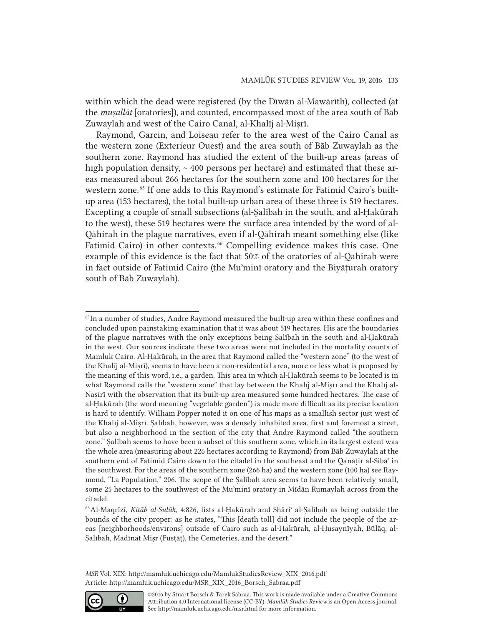within which the dead were registered (by the Dīwān al-Mawārīth), collected (at the *muṣallāt* [oratories]), and counted, encompassed most of the area south of Bāb Zuwaylah and west of the Cairo Canal, al-Khalīj al-Miṣrī.

Raymond, Garcin, and Loiseau refer to the area west of the Cairo Canal as the western zone (Exterieur Ouest) and the area south of Bāb Zuwaylah as the southern zone. Raymond has studied the extent of the built-up areas (areas of high population density,  $\sim$  400 persons per hectare) and estimated that these areas measured about 266 hectares for the southern zone and 100 hectares for the western zone. 65 If one adds to this Raymond's estimate for Fatimid Cairo's builtup area (153 hectares), the total built-up urban area of these three is 519 hectares. Excepting a couple of small subsections (al-Ṣalībah in the south, and al-Ḥakūrah to the west), these 519 hectares were the surface area intended by the word of al-Qāhirah in the plague narratives, even if al-Qāhirah meant something else (like Fatimid Cairo) in other contexts. 66 Compelling evidence makes this case. One example of this evidence is the fact that 50% of the oratories of al-Qāhirah were in fact outside of Fatimid Cairo (the Muʾminī oratory and the Biyāṭurah oratory south of Bāb Zuwaylah).



<sup>65</sup>In a number of studies, Andre Raymond measured the built-up area within these confines and concluded upon painstaking examination that it was about 519 hectares. His are the boundaries of the plague narratives with the only exceptions being Ṣalībah in the south and al-Ḥakūrah in the west. Our sources indicate these two areas were not included in the mortality counts of Mamluk Cairo. Al-Ḥakūrah, in the area that Raymond called the "western zone" (to the west of the Khalīj al-Miṣrī), seems to have been a non-residential area, more or less what is proposed by the meaning of this word, i.e., a garden. This area in which al-Ḥakūrah seems to be located is in what Raymond calls the "western zone" that lay between the Khalīj al-Miṣrī and the Khalīj al-Naṣirī with the observation that its built-up area measured some hundred hectares. The case of al-Ḥakūrah (the word meaning "vegetable garden") is made more difficult as its precise location is hard to identify. William Popper noted it on one of his maps as a smallish sector just west of the Khalīj al-Miṣrī. Ṣalībah, however, was a densely inhabited area, first and foremost a street, but also a neighborhood in the section of the city that Andre Raymond called "the southern zone." Ṣalībah seems to have been a subset of this southern zone, which in its largest extent was the whole area (measuring about 226 hectares according to Raymond) from Bāb Zuwaylah at the southern end of Fatimid Cairo down to the citadel in the southeast and the Qanātir al-Sibā' in the southwest. For the areas of the southern zone (266 ha) and the western zone (100 ha) see Raymond, "La Population," 206. The scope of the Ṣalībah area seems to have been relatively small, some 25 hectares to the southwest of the Muʾminī oratory in Mīdān Rumaylah across from the citadel.

<sup>66</sup>Al-Maqrīzī, *Kitāb al-Sulūk,* 4:826, lists al-Ḥakūrah and Shāriʿ al-Ṣalībah as being outside the bounds of the city proper: as he states, "This [death toll] did not include the people of the areas [neighborhoods/environs] outside of Cairo such as al-Ḥakūrah, al-Ḥusaynīyah, Būlāq, al-Salībah, Madīnat Misr (Fustāt), the Cemeteries, and the desert."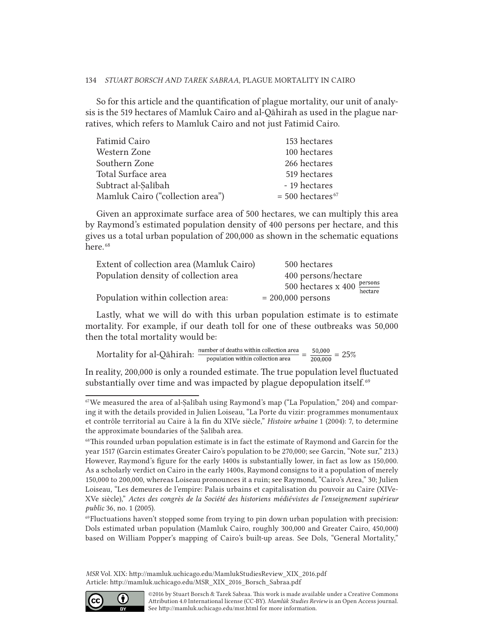So for this article and the quantification of plague mortality, our unit of analysis is the 519 hectares of Mamluk Cairo and al-Qāhirah as used in the plague narratives, which refers to Mamluk Cairo and not just Fatimid Cairo.

| Fatimid Cairo                    | 153 hectares                   |
|----------------------------------|--------------------------------|
| Western Zone                     | 100 hectares                   |
| Southern Zone                    | 266 hectares                   |
| Total Surface area               | 519 hectares                   |
| Subtract al-Salībah              | - 19 hectares                  |
| Mamluk Cairo ("collection area") | $= 500$ hectares <sup>67</sup> |

Given an approximate surface area of 500 hectares, we can multiply this area by Raymond's estimated population density of 400 persons per hectare, and this gives us a total urban population of 200,000 as shown in the schematic equations here.<sup>68</sup>

| Extent of collection area (Mamluk Cairo) | 500 hectares                                               |
|------------------------------------------|------------------------------------------------------------|
| Population density of collection area    | 400 persons/hectare                                        |
|                                          | 500 hectares x 400 $\frac{\text{persons}}{\text{hectare}}$ |
| Population within collection area:       | $= 200,000$ persons                                        |

Lastly, what we will do with this urban population estimate is to estimate mortality. For example, if our death toll for one of these outbreaks was 50,000 then the total mortality would be:

Mortality for al-Qāhirah:  $\frac{\text{number of deaths within collection area}}{\text{population within collection area}} = \frac{50,000}{200,000} = 25\%$ 

In reality, 200,000 is only a rounded estimate. The true population level fluctuated substantially over time and was impacted by plague depopulation itself.<sup>69</sup>



 $\degree$ <sup>*o*</sup> We measured the area of al-Salībah using Raymond's map ("La Population," 204) and comparing it with the details provided in Julien Loiseau, "La Porte du vizir: programmes monumentaux et contrôle territorial au Caire à la fin du XIVe siècle," *Histoire urbaine* 1 (2004): 7, to determine the approximate boundaries of the Ṣalībah area.

<sup>&</sup>lt;sup>68</sup>This rounded urban population estimate is in fact the estimate of Raymond and Garcin for the year 1517 (Garcin estimates Greater Cairo's population to be 270,000; see Garcin, "Note sur," 213.) However, Raymond's figure for the early 1400s is substantially lower, in fact as low as 150,000. As a scholarly verdict on Cairo in the early 1400s, Raymond consigns to it a population of merely 150,000 to 200,000, whereas Loiseau pronounces it a ruin; see Raymond, "Cairo's Area," 30; Julien Loiseau, "Les demeures de l'empire: Palais urbains et capitalisation du pouvoir au Caire (XIVe-XVe siècle)," *Actes des congrès de la Société des historiens médiévistes de l'enseignement supérieur public* 36, no. 1 (2005).

 $\degree$ Fluctuations haven't stopped some from trying to pin down urban population with precision: Dols estimated urban population (Mamluk Cairo, roughly 300,000 and Greater Cairo, 450,000) based on William Popper's mapping of Cairo's built-up areas. See Dols, "General Mortality,"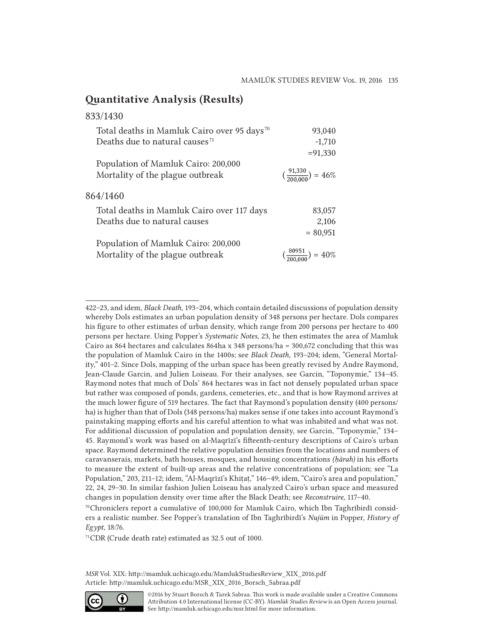### Quantitative Analysis (Results)

| 833/1430                                                                |                                              |
|-------------------------------------------------------------------------|----------------------------------------------|
| Total deaths in Mamluk Cairo over 95 days <sup>70</sup>                 | 93,040                                       |
| Deaths due to natural causes <sup>71</sup>                              | $-1,710$                                     |
|                                                                         | $= 91,330$                                   |
| Population of Mamluk Cairo: 200,000<br>Mortality of the plague outbreak | $\left(\frac{91,330}{200,000}\right) = 46\%$ |
| 864/1460                                                                |                                              |
| Total deaths in Mamluk Cairo over 117 days                              | 83,057                                       |
| Deaths due to natural causes                                            | 2,106                                        |
|                                                                         | $= 80,951$                                   |
| Population of Mamluk Cairo: 200,000<br>Mortality of the plague outbreak | $\left(\frac{80951}{200,000}\right) = 40\%$  |

71 CDR (Crude death rate) estimated as 32.5 out of 1000.

*MSR* Vol. XIX: http://mamluk.uchicago.edu/MamlukStudiesReview\_XIX\_2016.pdf Article: http://mamluk.uchicago.edu/MSR\_XIX\_2016\_Borsch\_Sabraa.pdf



<sup>422–23,</sup> and idem, *Black Death,* 193–204, which contain detailed discussions of population density whereby Dols estimates an urban population density of 348 persons per hectare. Dols compares his figure to other estimates of urban density, which range from 200 persons per hectare to 400 persons per hectare. Using Popper's *Systematic Notes,* 23, he then estimates the area of Mamluk Cairo as 864 hectares and calculates 864ha x 348 persons/ha = 300,672 concluding that this was the population of Mamluk Cairo in the 1400s; see *Black Death,* 193–204; idem, "General Mortality," 401–2. Since Dols, mapping of the urban space has been greatly revised by Andre Raymond, Jean-Claude Garcin, and Julien Loiseau. For their analyses, see Garcin, "Toponymie," 134–45. Raymond notes that much of Dols' 864 hectares was in fact not densely populated urban space but rather was composed of ponds, gardens, cemeteries, etc., and that is how Raymond arrives at the much lower figure of 519 hectares. The fact that Raymond's population density (400 persons/ ha) is higher than that of Dols (348 persons/ha) makes sense if one takes into account Raymond's painstaking mapping efforts and his careful attention to what was inhabited and what was not. For additional discussion of population and population density, see Garcin, "Toponymie," 134– 45. Raymond's work was based on al-Maqrīzī's fifteenth-century descriptions of Cairo's urban space. Raymond determined the relative population densities from the locations and numbers of caravanserais, markets, bath houses, mosques, and housing concentrations *(ḥārah)* in his efforts to measure the extent of built-up areas and the relative concentrations of population; see "La Population," 203, 211–12; idem, "Al-Maqrīzī's Khiṭaṭ," 146–49; idem, "Cairo's area and population," 22, 24, 29–30. In similar fashion Julien Loiseau has analyzed Cairo's urban space and measured changes in population density over time after the Black Death; see *Reconstruire,* 117–40.

<sup>70</sup>Chroniclers report a cumulative of 100,000 for Mamluk Cairo, which Ibn Taghrībirdī considers a realistic number. See Popper's translation of Ibn Taghrībirdī's *Nujūm* in Popper, *History of Egypt,* 18:76.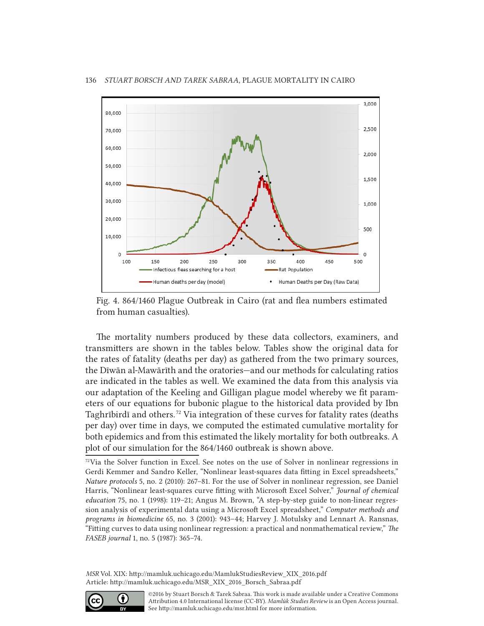

Fig. 4. 864/1460 Plague Outbreak in Cairo (rat and flea numbers estimated from human casualties).

The mortality numbers produced by these data collectors, examiners, and transmitters are shown in the tables below. Tables show the original data for the rates of fatality (deaths per day) as gathered from the two primary sources, the Dīwān al-Mawārīth and the oratories—and our methods for calculating ratios are indicated in the tables as well. We examined the data from this analysis via our adaptation of the Keeling and Gilligan plague model whereby we fit parameters of our equations for bubonic plague to the historical data provided by Ibn Taghrībirdī and others. 72 Via integration of these curves for fatality rates (deaths per day) over time in days, we computed the estimated cumulative mortality for both epidemics and from this estimated the likely mortality for both outbreaks. A plot of our simulation for the 864/1460 outbreak is shown above.



 $72$ Via the Solver function in Excel. See notes on the use of Solver in nonlinear regressions in Gerdi Kemmer and Sandro Keller, "Nonlinear least-squares data fitting in Excel spreadsheets," *Nature protocols* 5, no. 2 (2010): 267–81. For the use of Solver in nonlinear regression, see Daniel Harris, "Nonlinear least-squares curve fitting with Microsoft Excel Solver," *Journal of chemical education* 75, no. 1 (1998): 119–21; Angus M. Brown, "A step-by-step guide to non-linear regression analysis of experimental data using a Microsoft Excel spreadsheet," *Computer methods and programs in biomedicine* 65, no. 3 (2001): 943–44; Harvey J. Motulsky and Lennart A. Ransnas, "Fitting curves to data using nonlinear regression: a practical and nonmathematical review," *The FASEB journal* 1, no. 5 (1987): 365–74.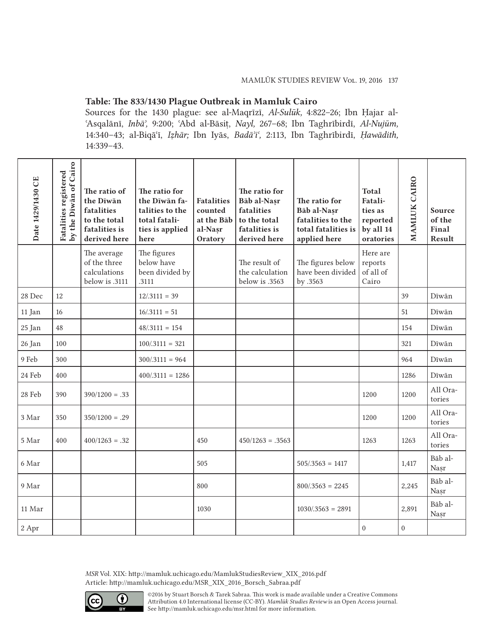#### MAMLŪK STUDIES REVIEW Vol. 19, 2016 137

### Table: The 833/1430 Plague Outbreak in Mamluk Cairo

Sources for the 1430 plague: see al-Maqrīzī, *Al-Sulūk,* 4:822–26; Ibn Ḥajar al-ʿAsqalānī, *Inbāʾ,* 9:200; ʿAbd al-Bāsiṭ, *Nayl,* 267–68; Ibn Taghrībirdī, *Al-Nujūm,*  14:340–43; al-Biqāʿī, *Iẓhār;* Ibn Iyās, *Badāʾiʿ,* 2:113, Ibn Taghrībirdī, *Ḥawādith,* 14:339–43.

| Date 1429/1430 CE | by the Diwan of Cairo<br>Fatalities registered | The ratio of<br>the Dīwān<br>fatalities<br>to the total<br>fatalities is<br>derived here | The ratio for<br>the Dīwān fa-<br>talities to the<br>total fatali-<br>ties is applied<br>here | <b>Fatalities</b><br>counted<br>at the Bab<br>al-Nasr<br>Oratory | The ratio for<br>Bāb al-Nașr<br>fatalities<br>to the total<br>fatalities is<br>derived here | The ratio for<br>Bāb al-Nasr<br>fatalities to the<br>total fatalities is<br>applied here | <b>Total</b><br>Fatali-<br>ties as<br>reported<br>by all 14<br>oratories | MAMLUK CAIRO     | Source<br>of the<br>Final<br>Result |
|-------------------|------------------------------------------------|------------------------------------------------------------------------------------------|-----------------------------------------------------------------------------------------------|------------------------------------------------------------------|---------------------------------------------------------------------------------------------|------------------------------------------------------------------------------------------|--------------------------------------------------------------------------|------------------|-------------------------------------|
|                   |                                                | The average<br>of the three<br>calculations<br>below is .3111                            | The figures<br>below have<br>been divided by<br>.3111                                         |                                                                  | The result of<br>the calculation<br>below is .3563                                          | The figures below<br>have been divided<br>by .3563                                       | Here are<br>reports<br>of all of<br>Cairo                                |                  |                                     |
| 28 Dec            | 12                                             |                                                                                          | $12/.3111 = 39$                                                                               |                                                                  |                                                                                             |                                                                                          |                                                                          | 39               | Dīwān                               |
| 11 Jan            | 16                                             |                                                                                          | $16/3111 = 51$                                                                                |                                                                  |                                                                                             |                                                                                          |                                                                          | 51               | Dīwān                               |
| 25 Jan            | 48                                             |                                                                                          | $48/.3111 = 154$                                                                              |                                                                  |                                                                                             |                                                                                          |                                                                          | 154              | Dīwān                               |
| 26 Jan            | 100                                            |                                                                                          | $100/.3111 = 321$                                                                             |                                                                  |                                                                                             |                                                                                          |                                                                          | 321              | Dīwān                               |
| 9 Feb             | 300                                            |                                                                                          | $300/.3111 = 964$                                                                             |                                                                  |                                                                                             |                                                                                          |                                                                          | 964              | Dīwān                               |
| 24 Feb            | 400                                            |                                                                                          | $400/.3111 = 1286$                                                                            |                                                                  |                                                                                             |                                                                                          |                                                                          | 1286             | Dīwān                               |
| 28 Feb            | 390                                            | $390/1200 = .33$                                                                         |                                                                                               |                                                                  |                                                                                             |                                                                                          | 1200                                                                     | 1200             | All Ora-<br>tories                  |
| 3 Mar             | 350                                            | $350/1200 = .29$                                                                         |                                                                                               |                                                                  |                                                                                             |                                                                                          | 1200                                                                     | 1200             | All Ora-<br>tories                  |
| 5 Mar             | 400                                            | $400/1263 = .32$                                                                         |                                                                                               | 450                                                              | $450/1263 = .3563$                                                                          |                                                                                          | 1263                                                                     | 1263             | All Ora-<br>tories                  |
| 6 Mar             |                                                |                                                                                          |                                                                                               | 505                                                              |                                                                                             | $505/.3563 = 1417$                                                                       |                                                                          | 1,417            | Bāb al-<br>Nasr                     |
| 9 Mar             |                                                |                                                                                          |                                                                                               | 800                                                              |                                                                                             | $800/.3563 = 2245$                                                                       |                                                                          | 2,245            | Bāb al-<br>Nasr                     |
| $11$ $\rm{Mar}$   |                                                |                                                                                          |                                                                                               | 1030                                                             |                                                                                             | $1030/3563 = 2891$                                                                       |                                                                          | 2,891            | Bāb al-<br>Nasr                     |
| 2 Apr             |                                                |                                                                                          |                                                                                               |                                                                  |                                                                                             |                                                                                          | $\boldsymbol{0}$                                                         | $\boldsymbol{0}$ |                                     |

*MSR* Vol. XIX: http://mamluk.uchicago.edu/MamlukStudiesReview\_XIX\_2016.pdf Article: http://mamluk.uchicago.edu/MSR\_XIX\_2016\_Borsch\_Sabraa.pdf

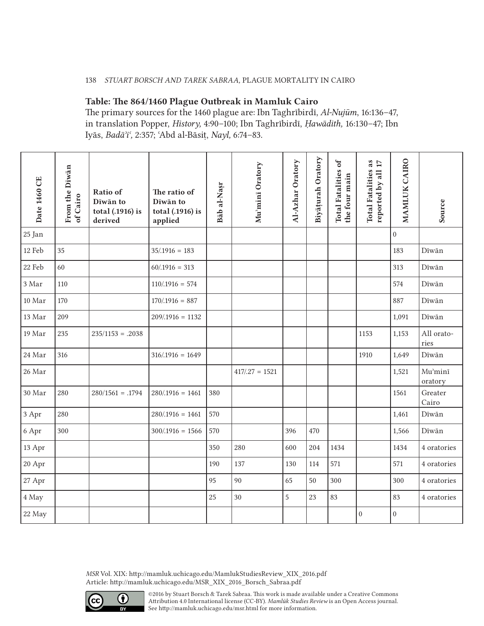### Table: The 864/1460 Plague Outbreak in Mamluk Cairo

The primary sources for the 1460 plague are: Ibn Taghrībirdī, *Al-Nujūm*, 16:136–47, in translation Popper, *History,* 4:90–100; Ibn Taghrībirdī, *Ḥawādith,* 16:130–47; Ibn Iyās, *Badāʾiʿ,* 2:357; ʿAbd al-Bāsiṭ, *Nayl,* 6:74–83.

| Date 1460 CE       | From the Diwan<br>of Cairo | <b>Ratio of</b><br>Dīwān to<br>total (.1916) is<br>derived | The ratio of<br>Dīwān to<br>total (.1916) is<br>applied | Bāb al-Nașr | Mu'minī Oratory | Al-Azhar Oratory | Biyāṭurah Oratory | <b>Total Fatalities of</b><br>the four main | <b>Total Fatalities as</b><br>$\mathbf{1}$<br>reported by all | MAMLUK CAIRO     | Source             |
|--------------------|----------------------------|------------------------------------------------------------|---------------------------------------------------------|-------------|-----------------|------------------|-------------------|---------------------------------------------|---------------------------------------------------------------|------------------|--------------------|
| 25 Jan             |                            |                                                            |                                                         |             |                 |                  |                   |                                             |                                                               | $\mathbf{0}$     |                    |
| 12 Feb             | 35                         |                                                            | $35/1916 = 183$                                         |             |                 |                  |                   |                                             |                                                               | 183              | Dīwān              |
| 22 Feb             | 60                         |                                                            | $60/1916 = 313$                                         |             |                 |                  |                   |                                             |                                                               | 313              | Dīwān              |
| 3 Mar              | 110                        |                                                            | $110/.1916 = 574$                                       |             |                 |                  |                   |                                             |                                                               | 574              | Dīwān              |
| $10\ \mathrm{Mar}$ | 170                        |                                                            | $170/1916 = 887$                                        |             |                 |                  |                   |                                             |                                                               | 887              | Dīwān              |
| 13 Mar             | 209                        |                                                            | $209/1916 = 1132$                                       |             |                 |                  |                   |                                             |                                                               | 1,091            | Dīwān              |
| 19 Mar             | 235                        | $235/1153 = .2038$                                         |                                                         |             |                 |                  |                   |                                             | 1153                                                          | 1,153            | All orato-<br>ries |
| 24 Mar             | 316                        |                                                            | $316/1916 = 1649$                                       |             |                 |                  |                   |                                             | 1910                                                          | 1,649            | Dīwān              |
| 26 Mar             |                            |                                                            |                                                         |             | $417/27 = 1521$ |                  |                   |                                             |                                                               | 1,521            | Mu'minī<br>oratory |
| 30 Mar             | 280                        | $280/1561 = .1794$                                         | $280/.1916 = 1461$                                      | 380         |                 |                  |                   |                                             |                                                               | 1561             | Greater<br>Cairo   |
| 3 Apr              | 280                        |                                                            | $280/1916 = 1461$                                       | 570         |                 |                  |                   |                                             |                                                               | 1,461            | Dīwān              |
| $6$ Apr            | 300                        |                                                            | $300/1916 = 1566$                                       | 570         |                 | 396              | 470               |                                             |                                                               | 1,566            | Dīwān              |
| 13 Apr             |                            |                                                            |                                                         | 350         | 280             | 600              | 204               | 1434                                        |                                                               | 1434             | 4 oratories        |
| 20 Apr             |                            |                                                            |                                                         | 190         | 137             | 130              | 114               | 571                                         |                                                               | 571              | 4 oratories        |
| 27 Apr             |                            |                                                            |                                                         | 95          | 90              | 65               | 50                | 300                                         |                                                               | 300              | 4 oratories        |
| 4 May              |                            |                                                            |                                                         | 25          | 30              | 5                | 23                | 83                                          |                                                               | 83               | 4 oratories        |
| 22 May             |                            |                                                            |                                                         |             |                 |                  |                   |                                             | $\boldsymbol{0}$                                              | $\boldsymbol{0}$ |                    |

*MSR* Vol. XIX: http://mamluk.uchicago.edu/MamlukStudiesReview\_XIX\_2016.pdf Article: http://mamluk.uchicago.edu/MSR\_XIX\_2016\_Borsch\_Sabraa.pdf

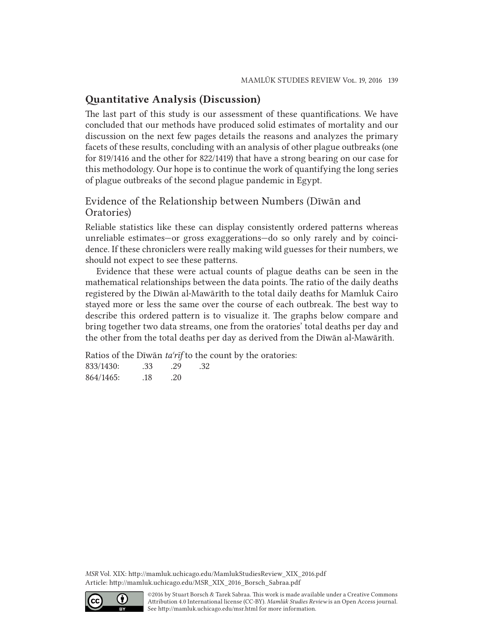# Quantitative Analysis (Discussion)

The last part of this study is our assessment of these quantifications. We have concluded that our methods have produced solid estimates of mortality and our discussion on the next few pages details the reasons and analyzes the primary facets of these results, concluding with an analysis of other plague outbreaks (one for 819/1416 and the other for 822/1419) that have a strong bearing on our case for this methodology. Our hope is to continue the work of quantifying the long series of plague outbreaks of the second plague pandemic in Egypt.

# Evidence of the Relationship between Numbers (Dīwān and Oratories)

Reliable statistics like these can display consistently ordered patterns whereas unreliable estimates—or gross exaggerations—do so only rarely and by coincidence. If these chroniclers were really making wild guesses for their numbers, we should not expect to see these patterns.

Evidence that these were actual counts of plague deaths can be seen in the mathematical relationships between the data points. The ratio of the daily deaths registered by the Dīwān al-Mawārīth to the total daily deaths for Mamluk Cairo stayed more or less the same over the course of each outbreak. The best way to describe this ordered pattern is to visualize it. The graphs below compare and bring together two data streams, one from the oratories' total deaths per day and the other from the total deaths per day as derived from the Dīwān al-Mawārīth.

Ratios of the Dīwān *taʿrīf* to the count by the oratories:

| 833/1430: | .33 | .29 | .32 |
|-----------|-----|-----|-----|
| 864/1465: | .18 | .20 |     |

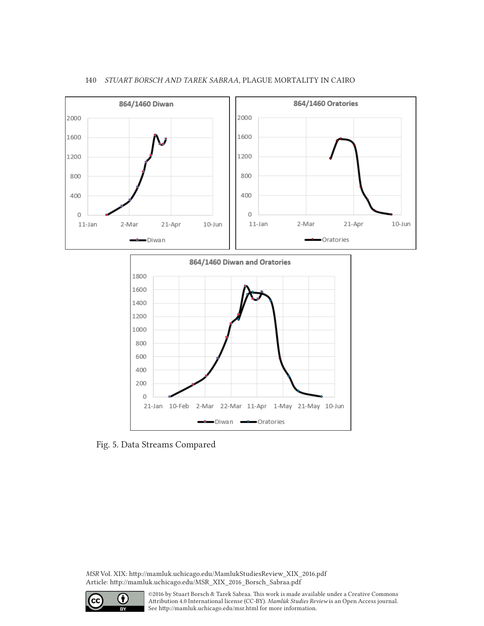

Fig. 5. Data Streams Compared

*MSR* Vol. XIX: http://mamluk.uchicago.edu/MamlukStudiesReview\_XIX\_2016.pdf Article: http://mamluk.uchicago.edu/MSR\_XIX\_2016\_Borsch\_Sabraa.pdf

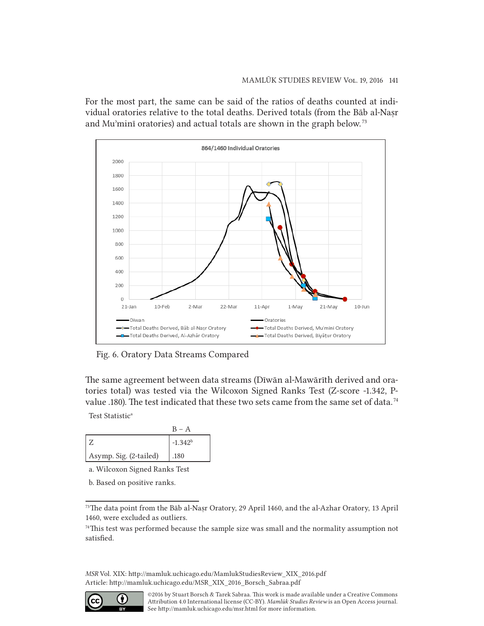For the most part, the same can be said of the ratios of deaths counted at individual oratories relative to the total deaths. Derived totals (from the Bāb al-Naṣr and Muʾminī oratories) and actual totals are shown in the graph below. 73



Fig. 6. Oratory Data Streams Compared

The same agreement between data streams (Dīwān al-Mawārīth derived and oratories total) was tested via the Wilcoxon Signed Ranks Test (Z-score -1.342, Pvalue .180). The test indicated that these two sets came from the same set of data. 74

Test Statistic<sup>a</sup>

|                        | $B - A$    |
|------------------------|------------|
|                        | $-1.342^b$ |
| Asymp. Sig. (2-tailed) | .180       |

a. Wilcoxon Signed Ranks Test

b. Based on positive ranks.



<sup>73</sup>The data point from the Bāb al-Naṣr Oratory, 29 April 1460, and the al-Azhar Oratory, 13 April 1460, were excluded as outliers.

 $74$ This test was performed because the sample size was small and the normality assumption not satisfied.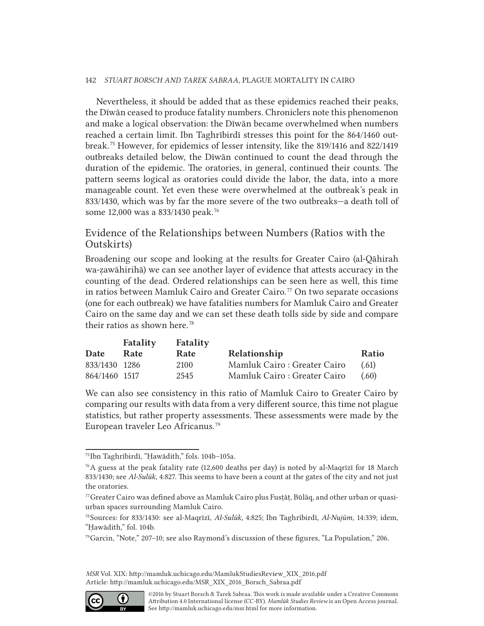Nevertheless, it should be added that as these epidemics reached their peaks, the Dīwān ceased to produce fatality numbers. Chroniclers note this phenomenon and make a logical observation: the Dīwān became overwhelmed when numbers reached a certain limit. Ibn Taghrībirdī stresses this point for the 864/1460 outbreak. 75 However, for epidemics of lesser intensity, like the 819/1416 and 822/1419 outbreaks detailed below, the Dīwān continued to count the dead through the duration of the epidemic. The oratories, in general, continued their counts. The pattern seems logical as oratories could divide the labor, the data, into a more manageable count. Yet even these were overwhelmed at the outbreak's peak in 833/1430, which was by far the more severe of the two outbreaks—a death toll of some 12,000 was a 833/1430 peak. 76

### Evidence of the Relationships between Numbers (Ratios with the Outskirts)

Broadening our scope and looking at the results for Greater Cairo (al-Qāhirah wa-zawāhirihā) we can see another layer of evidence that attests accuracy in the counting of the dead. Ordered relationships can be seen here as well, this time in ratios between Mamluk Cairo and Greater Cairo. 77 On two separate occasions (one for each outbreak) we have fatalities numbers for Mamluk Cairo and Greater Cairo on the same day and we can set these death tolls side by side and compare their ratios as shown here. 78

|               | Fatality    | Fatality |                              |       |
|---------------|-------------|----------|------------------------------|-------|
| Date          | <b>Rate</b> | Rate     | Relationship                 | Ratio |
| 833/1430 1286 |             | 2100     | Mamluk Cairo: Greater Cairo  | (.61) |
| 864/1460 1517 |             | 2545     | Mamluk Cairo : Greater Cairo | (.60) |

We can also see consistency in this ratio of Mamluk Cairo to Greater Cairo by comparing our results with data from a very different source, this time not plague statistics, but rather property assessments. These assessments were made by the European traveler Leo Africanus. 79



<sup>75</sup>Ibn Taghrībirdī, "Ḥawādith," fols. 104b–105a.

 $76A$  guess at the peak fatality rate (12,600 deaths per day) is noted by al-Maqrīzī for 18 March 833/1430; see *Al-Sulūk,* 4:827. This seems to have been a count at the gates of the city and not just the oratories.

<sup>77</sup>Greater Cairo was defined above as Mamluk Cairo plus Fusṭāṭ, Būlāq, and other urban or quasiurban spaces surrounding Mamluk Cairo.

<sup>78</sup>Sources: for 833/1430: see al-Maqrīzī, *Al-Sulūk,* 4:825; Ibn Taghrībirdī, *Al-Nujūm,* 14:339; idem, "Ḥawādith," fol. 104b.

<sup>&</sup>lt;sup>79</sup>Garcin, "Note," 207–10; see also Raymond's discussion of these figures, "La Population," 206.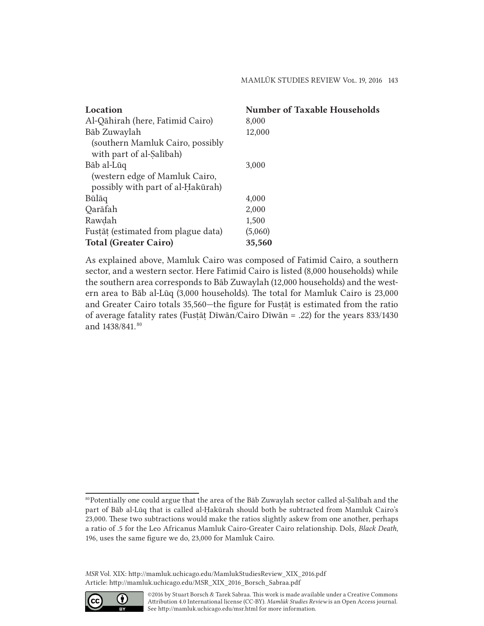| Location                            | <b>Number of Taxable Households</b> |
|-------------------------------------|-------------------------------------|
| Al-Qāhirah (here, Fatimid Cairo)    | 8,000                               |
| Bāb Zuwaylah                        | 12,000                              |
| (southern Mamluk Cairo, possibly    |                                     |
| with part of al-Salībah)            |                                     |
| Bāb al-Lūq                          | 3,000                               |
| (western edge of Mamluk Cairo,      |                                     |
| possibly with part of al-Hakūrah)   |                                     |
| Būlāq                               | 4,000                               |
| Qarāfah                             | 2,000                               |
| Rawdah                              | 1,500                               |
| Fustat (estimated from plague data) | (5,060)                             |
| <b>Total (Greater Cairo)</b>        | 35,560                              |

As explained above, Mamluk Cairo was composed of Fatimid Cairo, a southern sector, and a western sector. Here Fatimid Cairo is listed (8,000 households) while the southern area corresponds to Bāb Zuwaylah (12,000 households) and the western area to Bāb al-Lūq (3,000 households). The total for Mamluk Cairo is 23,000 and Greater Cairo totals 35,560—the figure for Fustāt is estimated from the ratio of average fatality rates (Fusṭāṭ Dīwān/Cairo Dīwān = .22) for the years 833/1430 and 1438/841. 80



<sup>80</sup>Potentially one could argue that the area of the Bāb Zuwaylah sector called al-Ṣalībah and the part of Bāb al-Lūq that is called al-Ḥakūrah should both be subtracted from Mamluk Cairo's 23,000. These two subtractions would make the ratios slightly askew from one another, perhaps a ratio of .5 for the Leo Africanus Mamluk Cairo-Greater Cairo relationship. Dols, *Black Death,* 196, uses the same figure we do, 23,000 for Mamluk Cairo.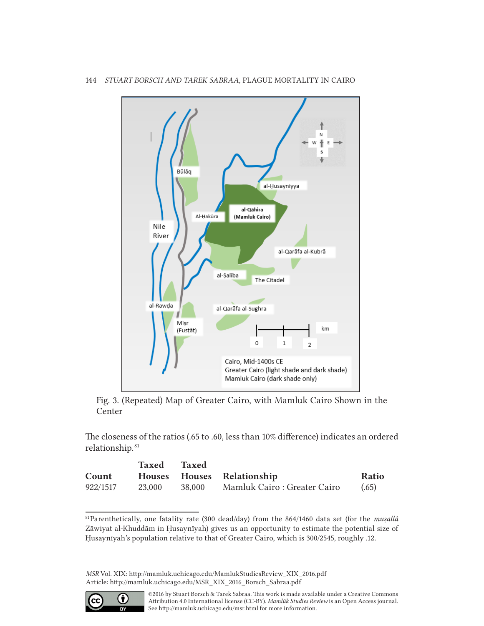

Fig. 3. (Repeated) Map of Greater Cairo, with Mamluk Cairo Shown in the Center

The closeness of the ratios (.65 to .60, less than 10% difference) indicates an ordered relationship. 81

|          | Taxed Taxed |        |                              |       |
|----------|-------------|--------|------------------------------|-------|
| Count    |             |        | Houses Houses Relationship   | Ratio |
| 922/1517 | 23.000      | 38,000 | Mamluk Cairo : Greater Cairo | (.65) |

<sup>81</sup>Parenthetically, one fatality rate (300 dead/day) from the 864/1460 data set (for the *muṣallá* Zāwiyat al-Khuddām in Ḥusaynīyah) gives us an opportunity to estimate the potential size of Ḥusaynīyah's population relative to that of Greater Cairo, which is 300/2545, roughly .12.

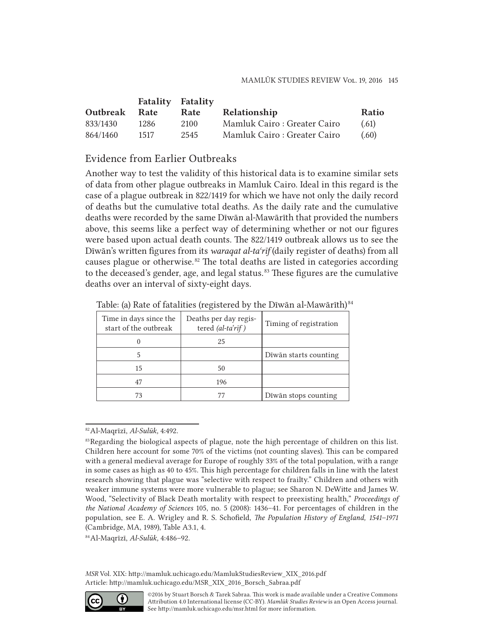|          | <b>Fatality</b> Fatality |             |                             |       |
|----------|--------------------------|-------------|-----------------------------|-------|
| Outbreak | Rate                     | <b>Rate</b> | Relationship                | Ratio |
| 833/1430 | 1286                     | 2100        | Mamluk Cairo: Greater Cairo | (.61) |
| 864/1460 | 1517                     | 2545        | Mamluk Cairo: Greater Cairo | (.60) |

# Evidence from Earlier Outbreaks

Another way to test the validity of this historical data is to examine similar sets of data from other plague outbreaks in Mamluk Cairo. Ideal in this regard is the case of a plague outbreak in 822/1419 for which we have not only the daily record of deaths but the cumulative total deaths. As the daily rate and the cumulative deaths were recorded by the same Dīwān al-Mawārīth that provided the numbers above, this seems like a perfect way of determining whether or not our figures were based upon actual death counts. The 822/1419 outbreak allows us to see the Dīwān's written figures from its *waraqat al-taʿrīf* (daily register of deaths) from all causes plague or otherwise. 82 The total deaths are listed in categories according to the deceased's gender, age, and legal status. 83 These figures are the cumulative deaths over an interval of sixty-eight days.

| Time in days since the<br>start of the outbreak | Deaths per day regis-<br>tered (al-ta'rīf) | Timing of registration |
|-------------------------------------------------|--------------------------------------------|------------------------|
|                                                 | 25                                         |                        |
|                                                 |                                            | Diwan starts counting  |
| 15                                              | 50                                         |                        |
| 47                                              | 196                                        |                        |
| 73                                              |                                            | Dīwān stops counting   |

Table: (a) Rate of fatalities (registered by the Dīwān al-Mawārīth) 84



<sup>82</sup>Al-Maqrīzī, *Al-Sulūk,* 4:492.

<sup>&</sup>lt;sup>83</sup>Regarding the biological aspects of plague, note the high percentage of children on this list. Children here account for some 70% of the victims (not counting slaves). This can be compared with a general medieval average for Europe of roughly 33% of the total population, with a range in some cases as high as 40 to 45%. This high percentage for children falls in line with the latest research showing that plague was "selective with respect to frailty." Children and others with weaker immune systems were more vulnerable to plague; see Sharon N. DeWitte and James W. Wood, "Selectivity of Black Death mortality with respect to preexisting health," *Proceedings of the National Academy of Sciences* 105, no. 5 (2008): 1436–41. For percentages of children in the population, see E. A. Wrigley and R. S. Schofield, *The Population History of England, 1541–1971* (Cambridge, MA, 1989), Table A3.1, 4.

<sup>84</sup>Al-Maqrīzī, *Al-Sulūk,* 4:486–92.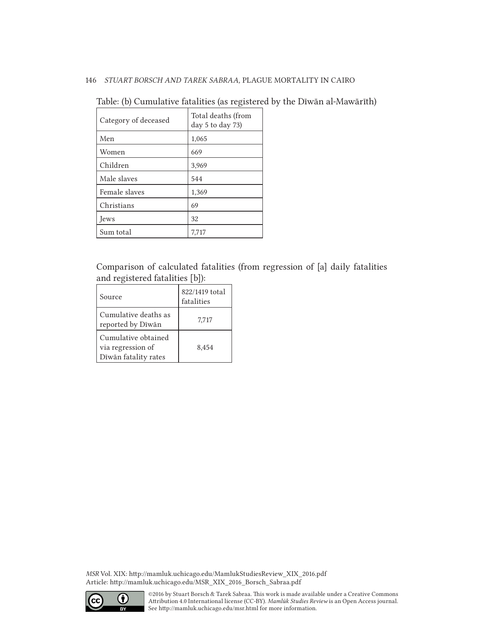|  |  |  |  | Table: (b) Cumulative fatalities (as registered by the Dīwān al-Mawārīth) |  |
|--|--|--|--|---------------------------------------------------------------------------|--|
|  |  |  |  |                                                                           |  |

| Category of deceased | Total deaths (from<br>day 5 to day 73) |  |  |  |
|----------------------|----------------------------------------|--|--|--|
| Men                  | 1,065                                  |  |  |  |
| Women                | 669                                    |  |  |  |
| Children             | 3,969                                  |  |  |  |
| Male slaves          | 544                                    |  |  |  |
| Female slaves        | 1,369                                  |  |  |  |
| Christians           | 69                                     |  |  |  |
| <b>Jews</b>          | 32                                     |  |  |  |
| Sum total            | 7,717                                  |  |  |  |

# Comparison of calculated fatalities (from regression of [a] daily fatalities and registered fatalities [b]):

| Source                                                           | 822/1419 total<br>fatalities |
|------------------------------------------------------------------|------------------------------|
| Cumulative deaths as<br>reported by Diwan                        | 7,717                        |
| Cumulative obtained<br>via regression of<br>Dīwān fatality rates | 8,454                        |

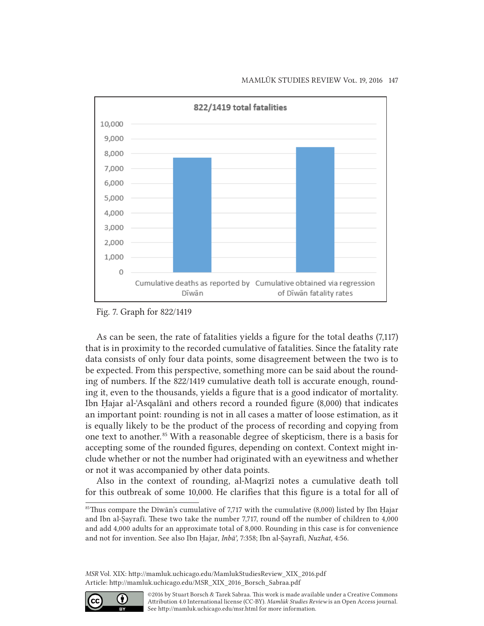#### MAMLŪK STUDIES REVIEW Vol. 19, 2016 147



Fig. 7. Graph for 822/1419

As can be seen, the rate of fatalities yields a figure for the total deaths (7,117) that is in proximity to the recorded cumulative of fatalities. Since the fatality rate data consists of only four data points, some disagreement between the two is to be expected. From this perspective, something more can be said about the rounding of numbers. If the 822/1419 cumulative death toll is accurate enough, rounding it, even to the thousands, yields a figure that is a good indicator of mortality. Ibn Ḥajar al-ʿAsqalānī and others record a rounded figure (8,000) that indicates an important point: rounding is not in all cases a matter of loose estimation, as it is equally likely to be the product of the process of recording and copying from one text to another. 85 With a reasonable degree of skepticism, there is a basis for accepting some of the rounded figures, depending on context. Context might include whether or not the number had originated with an eyewitness and whether or not it was accompanied by other data points.

Also in the context of rounding, al-Maqrīzī notes a cumulative death toll for this outbreak of some 10,000. He clarifies that this figure is a total for all of



<sup>85</sup>Thus compare the Dīwān's cumulative of 7,717 with the cumulative (8,000) listed by Ibn Ḥajar and Ibn al-Ṣayrafī. These two take the number 7,717, round off the number of children to 4,000 and add 4,000 adults for an approximate total of 8,000. Rounding in this case is for convenience and not for invention. See also Ibn Ḥajar, *Inbāʾ,* 7:358; Ibn al-Ṣayrafī, *Nuzhat,* 4:56.